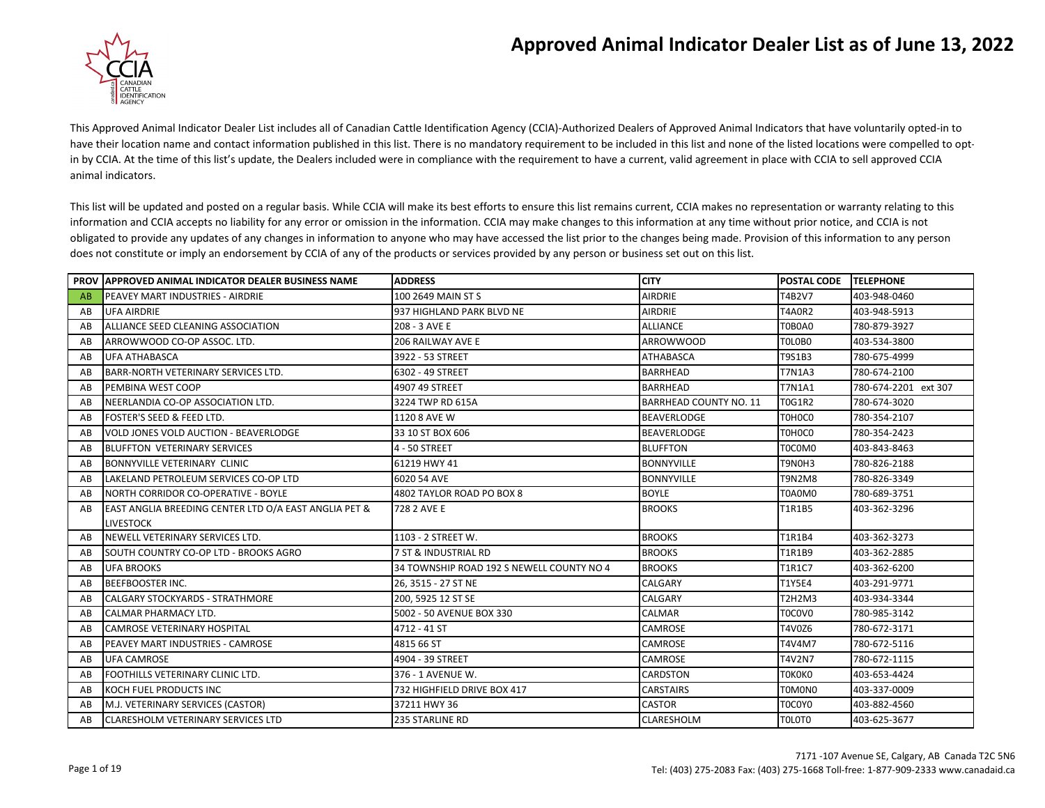## **Approved Animal Indicator Dealer List as of June 13, 2022**



This Approved Animal Indicator Dealer List includes all of Canadian Cattle Identification Agency (CCIA)-Authorized Dealers of Approved Animal Indicators that have voluntarily opted-in to have their location name and contact information published in this list. There is no mandatory requirement to be included in this list and none of the listed locations were compelled to optin by CCIA. At the time of this list's update, the Dealers included were in compliance with the requirement to have a current, valid agreement in place with CCIA to sell approved CCIA animal indicators.

This list will be updated and posted on a regular basis. While CCIA will make its best efforts to ensure this list remains current, CCIA makes no representation or warranty relating to this information and CCIA accepts no liability for any error or omission in the information. CCIA may make changes to this information at any time without prior notice, and CCIA is not obligated to provide any updates of any changes in information to anyone who may have accessed the list prior to the changes being made. Provision of this information to any person does not constitute or imply an endorsement by CCIA of any of the products or services provided by any person or business set out on this list.

|    | <b>PROV APPROVED ANIMAL INDICATOR DEALER BUSINESS NAME</b>       | <b>ADDRESS</b>                            | <b>CITY</b>                   | <b>POSTAL CODE</b> | <b>TELEPHONE</b>     |
|----|------------------------------------------------------------------|-------------------------------------------|-------------------------------|--------------------|----------------------|
| AB | PEAVEY MART INDUSTRIES - AIRDRIE                                 | 100 2649 MAIN ST S                        | <b>AIRDRIE</b>                | T4B2V7             | 403-948-0460         |
| AB | <b>UFA AIRDRIE</b>                                               | 937 HIGHLAND PARK BLVD NE                 | <b>AIRDRIE</b>                | <b>T4A0R2</b>      | 403-948-5913         |
| AB | ALLIANCE SEED CLEANING ASSOCIATION                               | 208 - 3 AVE E                             | <b>ALLIANCE</b>               | T0B0A0             | 780-879-3927         |
| AB | ARROWWOOD CO-OP ASSOC. LTD.                                      | 206 RAILWAY AVE E                         | <b>ARROWWOOD</b>              | TOLOBO             | 403-534-3800         |
| AB | <b>UFA ATHABASCA</b>                                             | 3922 - 53 STREET                          | <b>ATHABASCA</b>              | T9S1B3             | 780-675-4999         |
| AB | BARR-NORTH VETERINARY SERVICES LTD.                              | 6302 - 49 STREET                          | <b>BARRHEAD</b>               | <b>T7N1A3</b>      | 780-674-2100         |
| AB | PEMBINA WEST COOP                                                | 4907 49 STREET                            | <b>BARRHEAD</b>               | <b>T7N1A1</b>      | 780-674-2201 ext 307 |
| AB | NEERLANDIA CO-OP ASSOCIATION LTD.                                | 3224 TWP RD 615A                          | <b>BARRHEAD COUNTY NO. 11</b> | T0G1R2             | 780-674-3020         |
| AB | <b>FOSTER'S SEED &amp; FEED LTD.</b>                             | 1120 8 AVE W                              | <b>BEAVERLODGE</b>            | T0H0C0             | 780-354-2107         |
| AB | VOLD JONES VOLD AUCTION - BEAVERLODGE                            | 33 10 ST BOX 606                          | <b>BEAVERLODGE</b>            | T0H0C0             | 780-354-2423         |
| AB | <b>BLUFFTON VETERINARY SERVICES</b>                              | 4 - 50 STREET                             | <b>BLUFFTON</b>               | T0C0M0             | 403-843-8463         |
| AB | <b>BONNYVILLE VETERINARY CLINIC</b>                              | 61219 HWY 41                              | <b>BONNYVILLE</b>             | T9N0H3             | 780-826-2188         |
| AB | LAKELAND PETROLEUM SERVICES CO-OP LTD                            | 6020 54 AVE                               | <b>BONNYVILLE</b>             | <b>T9N2M8</b>      | 780-826-3349         |
| AB | <b>NORTH CORRIDOR CO-OPERATIVE - BOYLE</b>                       | 4802 TAYLOR ROAD PO BOX 8                 | <b>BOYLE</b>                  | T0A0M0             | 780-689-3751         |
| AB | <b>EAST ANGLIA BREEDING CENTER LTD O/A EAST ANGLIA PET &amp;</b> | 728 2 AVE E                               | <b>BROOKS</b>                 | <b>T1R1B5</b>      | 403-362-3296         |
|    | <b>LIVESTOCK</b>                                                 |                                           |                               |                    |                      |
| AB | NEWELL VETERINARY SERVICES LTD.                                  | 1103 - 2 STREET W.                        | <b>BROOKS</b>                 | T1R1B4             | 403-362-3273         |
| AB | SOUTH COUNTRY CO-OP LTD - BROOKS AGRO                            | 7 ST & INDUSTRIAL RD                      | <b>BROOKS</b>                 | T1R1B9             | 403-362-2885         |
| AB | <b>UFA BROOKS</b>                                                | 34 TOWNSHIP ROAD 192 S NEWELL COUNTY NO 4 | <b>BROOKS</b>                 | <b>T1R1C7</b>      | 403-362-6200         |
| AB | <b>BEEFBOOSTER INC.</b>                                          | 26, 3515 - 27 ST NE                       | CALGARY                       | T1Y5E4             | 403-291-9771         |
| AB | <b>CALGARY STOCKYARDS - STRATHMORE</b>                           | 200, 5925 12 ST SE                        | CALGARY                       | <b>T2H2M3</b>      | 403-934-3344         |
| AB | <b>CALMAR PHARMACY LTD.</b>                                      | 5002 - 50 AVENUE BOX 330                  | <b>CALMAR</b>                 | T0C0V0             | 780-985-3142         |
| AB | <b>CAMROSE VETERINARY HOSPITAL</b>                               | 4712 - 41 ST                              | CAMROSE                       | T4V0Z6             | 780-672-3171         |
| AB | <b>PEAVEY MART INDUSTRIES - CAMROSE</b>                          | 4815 66 ST                                | CAMROSE                       | T4V4M7             | 780-672-5116         |
| AB | <b>UFA CAMROSE</b>                                               | 4904 - 39 STREET                          | CAMROSE                       | <b>T4V2N7</b>      | 780-672-1115         |
| AB | FOOTHILLS VETERINARY CLINIC LTD.                                 | 376 - 1 AVENUE W.                         | <b>CARDSTON</b>               | <b>TOKOKO</b>      | 403-653-4424         |
| AB | KOCH FUEL PRODUCTS INC                                           | 732 HIGHFIELD DRIVE BOX 417               | <b>CARSTAIRS</b>              | T0M0N0             | 403-337-0009         |
| AB | M.J. VETERINARY SERVICES (CASTOR)                                | 37211 HWY 36                              | <b>CASTOR</b>                 | T0C0Y0             | 403-882-4560         |
| AB | <b>CLARESHOLM VETERINARY SERVICES LTD</b>                        | 235 STARLINE RD                           | CLARESHOLM                    | <b>TOLOTO</b>      | 403-625-3677         |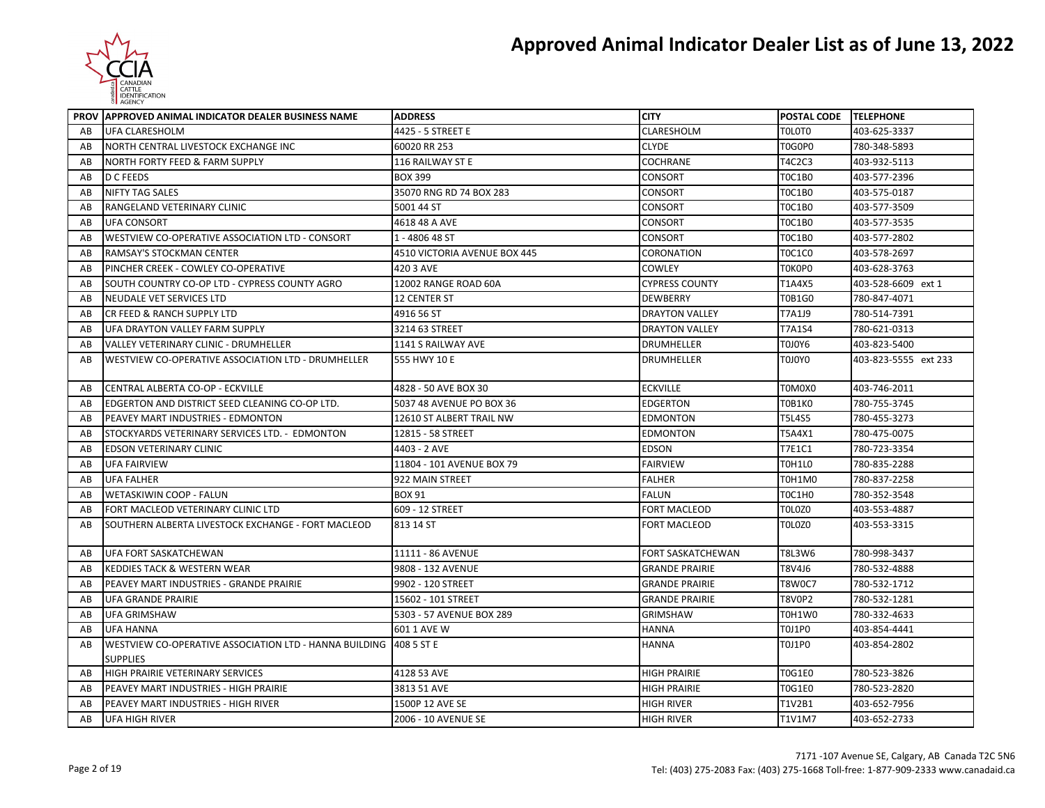

|    | PROV APPROVED ANIMAL INDICATOR DEALER BUSINESS NAME    | <b>ADDRESS</b>               | <b>CITY</b>              | POSTAL CODE TELEPHONE |                      |
|----|--------------------------------------------------------|------------------------------|--------------------------|-----------------------|----------------------|
| AB | UFA CLARESHOLM                                         | 4425 - 5 STREET E            | CLARESHOLM               | <b>TOLOTO</b>         | 403-625-3337         |
| AB | NORTH CENTRAL LIVESTOCK EXCHANGE INC                   | 60020 RR 253                 | <b>CLYDE</b>             | T0G0P0                | 780-348-5893         |
| AB | <b>NORTH FORTY FEED &amp; FARM SUPPLY</b>              | 116 RAILWAY ST E             | <b>COCHRANE</b>          | T4C2C3                | 403-932-5113         |
| AB | D C FEEDS                                              | <b>BOX 399</b>               | CONSORT                  | T0C1B0                | 403-577-2396         |
| AB | <b>NIFTY TAG SALES</b>                                 | 35070 RNG RD 74 BOX 283      | CONSORT                  | <b>TOC1B0</b>         | 403-575-0187         |
| AB | RANGELAND VETERINARY CLINIC                            | 5001 44 ST                   | <b>CONSORT</b>           | <b>TOC1B0</b>         | 403-577-3509         |
| AB | <b>UFA CONSORT</b>                                     | 4618 48 A AVE                | <b>CONSORT</b>           | <b>TOC1B0</b>         | 403-577-3535         |
| AB | WESTVIEW CO-OPERATIVE ASSOCIATION LTD - CONSORT        | 1 - 4806 48 ST               | <b>CONSORT</b>           | <b>TOC1B0</b>         | 403-577-2802         |
| AB | RAMSAY'S STOCKMAN CENTER                               | 4510 VICTORIA AVENUE BOX 445 | CORONATION               | <b>TOC1CO</b>         | 403-578-2697         |
| AB | PINCHER CREEK - COWLEY CO-OPERATIVE                    | 420 3 AVE                    | <b>COWLEY</b>            | T0K0P0                | 403-628-3763         |
| AB | SOUTH COUNTRY CO-OP LTD - CYPRESS COUNTY AGRO          | 12002 RANGE ROAD 60A         | <b>CYPRESS COUNTY</b>    | T1A4X5                | 403-528-6609 ext 1   |
| AB | NEUDALE VET SERVICES LTD                               | 12 CENTER ST                 | <b>DEWBERRY</b>          | <b>T0B1G0</b>         | 780-847-4071         |
| AB | CR FEED & RANCH SUPPLY LTD                             | 4916 56 ST                   | <b>DRAYTON VALLEY</b>    | T7A1J9                | 780-514-7391         |
| AB | UFA DRAYTON VALLEY FARM SUPPLY                         | 3214 63 STREET               | <b>DRAYTON VALLEY</b>    | <b>T7A1S4</b>         | 780-621-0313         |
| AB | <b>VALLEY VETERINARY CLINIC - DRUMHELLER</b>           | 1141 S RAILWAY AVE           | <b>DRUMHELLER</b>        | T0J0Y6                | 403-823-5400         |
| AB | WESTVIEW CO-OPERATIVE ASSOCIATION LTD - DRUMHELLER     | 555 HWY 10 E                 | <b>DRUMHELLER</b>        | <b>TOJOYO</b>         | 403-823-5555 ext 233 |
| AB | CENTRAL ALBERTA CO-OP - ECKVILLE                       | 4828 - 50 AVE BOX 30         | <b>ECKVILLE</b>          | T0M0X0                | 403-746-2011         |
| AB | EDGERTON AND DISTRICT SEED CLEANING CO-OP LTD.         | 5037 48 AVENUE PO BOX 36     | <b>EDGERTON</b>          | <b>T0B1K0</b>         | 780-755-3745         |
| AB | PEAVEY MART INDUSTRIES - EDMONTON                      | 12610 ST ALBERT TRAIL NW     | <b>EDMONTON</b>          | <b>T5L4S5</b>         | 780-455-3273         |
| AB | STOCKYARDS VETERINARY SERVICES LTD. - EDMONTON         | 12815 - 58 STREET            | <b>EDMONTON</b>          | T5A4X1                | 780-475-0075         |
| AB | EDSON VETERINARY CLINIC                                | 4403 - 2 AVE                 | <b>EDSON</b>             | T7E1C1                | 780-723-3354         |
| AB | <b>UFA FAIRVIEW</b>                                    | 11804 - 101 AVENUE BOX 79    | <b>FAIRVIEW</b>          | <b>TOH1LO</b>         | 780-835-2288         |
| AB | <b>UFA FALHER</b>                                      | 922 MAIN STREET              | <b>FALHER</b>            | <b>T0H1M0</b>         | 780-837-2258         |
| AB | WETASKIWIN COOP - FALUN                                | <b>BOX 91</b>                | <b>FALUN</b>             | <b>TOC1H0</b>         | 780-352-3548         |
| AB | FORT MACLEOD VETERINARY CLINIC LTD                     | 609 - 12 STREET              | <b>FORT MACLEOD</b>      | TOLOZO                | 403-553-4887         |
| AB | SOUTHERN ALBERTA LIVESTOCK EXCHANGE - FORT MACLEOD     | 813 14 ST                    | <b>FORT MACLEOD</b>      | TOLOZO                | 403-553-3315         |
| AB | UFA FORT SASKATCHEWAN                                  | 11111 - 86 AVENUE            | <b>FORT SASKATCHEWAN</b> | T8L3W6                | 780-998-3437         |
| AB | KEDDIES TACK & WESTERN WEAR                            | 9808 - 132 AVENUE            | <b>GRANDE PRAIRIE</b>    | T8V4J6                | 780-532-4888         |
| AB | PEAVEY MART INDUSTRIES - GRANDE PRAIRIE                | 9902 - 120 STREET            | <b>GRANDE PRAIRIE</b>    | <b>T8W0C7</b>         | 780-532-1712         |
| AB | UFA GRANDE PRAIRIE                                     | 15602 - 101 STREET           | <b>GRANDE PRAIRIE</b>    | T8V0P2                | 780-532-1281         |
| AB | UFA GRIMSHAW                                           | 5303 - 57 AVENUE BOX 289     | <b>GRIMSHAW</b>          | T0H1W0                | 780-332-4633         |
| AB | <b>UFA HANNA</b>                                       | 601 1 AVE W                  | <b>HANNA</b>             | T0J1P0                | 403-854-4441         |
| AB | WESTVIEW CO-OPERATIVE ASSOCIATION LTD - HANNA BUILDING | 408 5 ST E                   | <b>HANNA</b>             | <b>T0J1P0</b>         | 403-854-2802         |
|    | <b>SUPPLIES</b>                                        |                              |                          |                       |                      |
| AB | HIGH PRAIRIE VETERINARY SERVICES                       | 4128 53 AVE                  | <b>HIGH PRAIRIE</b>      | <b>T0G1E0</b>         | 780-523-3826         |
| AB | PEAVEY MART INDUSTRIES - HIGH PRAIRIE                  | 3813 51 AVE                  | <b>HIGH PRAIRIE</b>      | <b>T0G1E0</b>         | 780-523-2820         |
| AB | PEAVEY MART INDUSTRIES - HIGH RIVER                    | 1500P 12 AVE SE              | <b>HIGH RIVER</b>        | T1V2B1                | 403-652-7956         |
| AB | UFA HIGH RIVER                                         | 2006 - 10 AVENUE SE          | <b>HIGH RIVER</b>        | T1V1M7                | 403-652-2733         |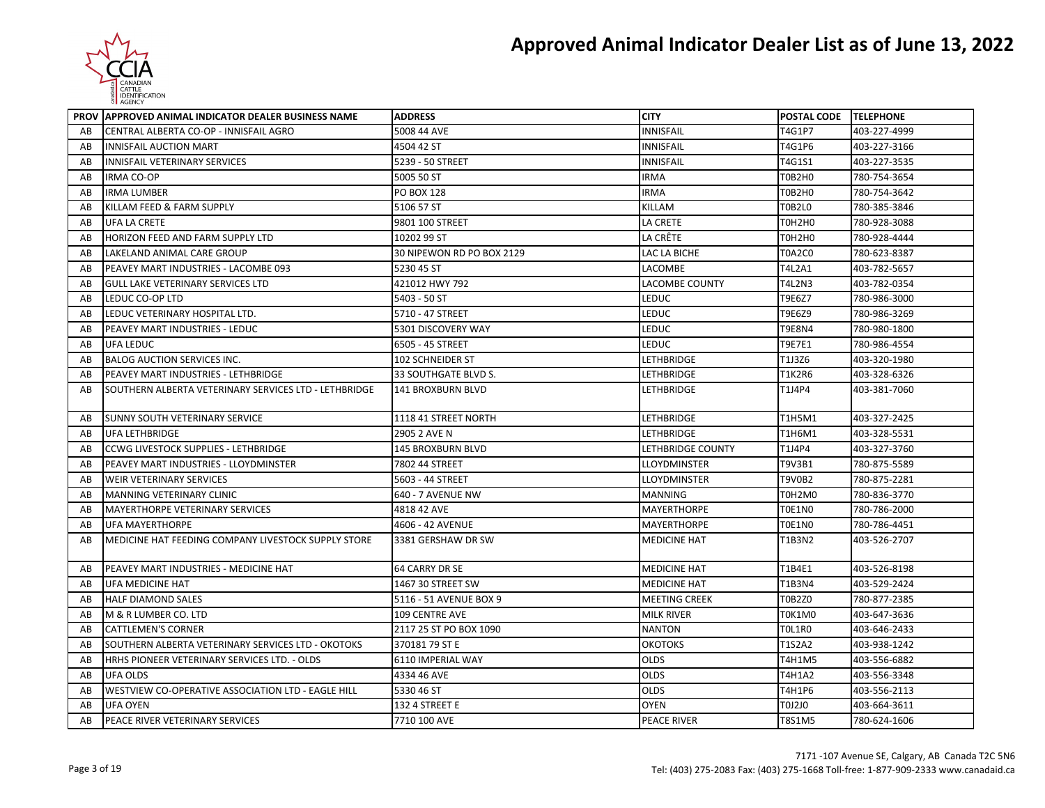

|    | PROV APPROVED ANIMAL INDICATOR DEALER BUSINESS NAME   | <b>ADDRESS</b>            | <b>CITY</b>              | POSTAL CODE TELEPHONE |              |
|----|-------------------------------------------------------|---------------------------|--------------------------|-----------------------|--------------|
| AB | CENTRAL ALBERTA CO-OP - INNISFAIL AGRO                | 5008 44 AVE               | <b>INNISFAIL</b>         | T4G1P7                | 403-227-4999 |
| AB | <b>INNISFAIL AUCTION MART</b>                         | 4504 42 ST                | <b>INNISFAIL</b>         | T4G1P6                | 403-227-3166 |
| AB | INNISFAIL VETERINARY SERVICES                         | 5239 - 50 STREET          | <b>INNISFAIL</b>         | T4G1S1                | 403-227-3535 |
| AB | <b>IRMA CO-OP</b>                                     | 5005 50 ST                | IRMA                     | T0B2H0                | 780-754-3654 |
| AB | <b>IRMA LUMBER</b>                                    | PO BOX 128                | <b>IRMA</b>              | T0B2H0                | 780-754-3642 |
| AB | KILLAM FEED & FARM SUPPLY                             | 5106 57 ST                | KILLAM                   | TOB2LO                | 780-385-3846 |
| AB | <b>UFA LA CRETE</b>                                   | 9801 100 STREET           | LA CRETE                 | T0H2H0                | 780-928-3088 |
| AB | HORIZON FEED AND FARM SUPPLY LTD                      | 10202 99 ST               | LA CRÊTE                 | T0H2H0                | 780-928-4444 |
| AB | LAKELAND ANIMAL CARE GROUP                            | 30 NIPEWON RD PO BOX 2129 | LAC LA BICHE             | <b>T0A2C0</b>         | 780-623-8387 |
| AB | PEAVEY MART INDUSTRIES - LACOMBE 093                  | 5230 45 ST                | LACOMBE                  | T4L2A1                | 403-782-5657 |
| AB | <b>GULL LAKE VETERINARY SERVICES LTD</b>              | 421012 HWY 792            | LACOMBE COUNTY           | T4L2N3                | 403-782-0354 |
| AB | LEDUC CO-OP LTD                                       | 5403 - 50 ST              | LEDUC                    | T9E6Z7                | 780-986-3000 |
| AB | LEDUC VETERINARY HOSPITAL LTD.                        | 5710 - 47 STREET          | LEDUC                    | T9E6Z9                | 780-986-3269 |
| AB | PEAVEY MART INDUSTRIES - LEDUC                        | 5301 DISCOVERY WAY        | LEDUC                    | <b>T9E8N4</b>         | 780-980-1800 |
| AB | UFA LEDUC                                             | 6505 - 45 STREET          | LEDUC                    | T9E7E1                | 780-986-4554 |
| AB | <b>BALOG AUCTION SERVICES INC.</b>                    | 102 SCHNEIDER ST          | LETHBRIDGE               | T1J3Z6                | 403-320-1980 |
| AB | PEAVEY MART INDUSTRIES - LETHBRIDGE                   | 33 SOUTHGATE BLVD S.      | LETHBRIDGE               | T1K2R6                | 403-328-6326 |
| AB | SOUTHERN ALBERTA VETERINARY SERVICES LTD - LETHBRIDGE | <b>141 BROXBURN BLVD</b>  | LETHBRIDGE               | T1J4P4                | 403-381-7060 |
| AB | <b>SUNNY SOUTH VETERINARY SERVICE</b>                 | 1118 41 STREET NORTH      | LETHBRIDGE               | T1H5M1                | 403-327-2425 |
| AB | UFA LETHBRIDGE                                        | 2905 2 AVE N              | LETHBRIDGE               | T1H6M1                | 403-328-5531 |
| AB | <b>CCWG LIVESTOCK SUPPLIES - LETHBRIDGE</b>           | <b>145 BROXBURN BLVD</b>  | <b>LETHBRIDGE COUNTY</b> | T1J4P4                | 403-327-3760 |
| AB | PEAVEY MART INDUSTRIES - LLOYDMINSTER                 | 7802 44 STREET            | LLOYDMINSTER             | T9V3B1                | 780-875-5589 |
| AB | WEIR VETERINARY SERVICES                              | 5603 - 44 STREET          | LLOYDMINSTER             | <b>T9V0B2</b>         | 780-875-2281 |
| AB | MANNING VETERINARY CLINIC                             | 640 - 7 AVENUE NW         | <b>MANNING</b>           | T0H2M0                | 780-836-3770 |
| AB | <b>MAYERTHORPE VETERINARY SERVICES</b>                | 4818 42 AVE               | MAYERTHORPE              | T0E1N0                | 780-786-2000 |
| AB | <b>UFA MAYERTHORPE</b>                                | 4606 - 42 AVENUE          | MAYERTHORPE              | TOE1NO                | 780-786-4451 |
| AB | MEDICINE HAT FEEDING COMPANY LIVESTOCK SUPPLY STORE   | 3381 GERSHAW DR SW        | MEDICINE HAT             | T1B3N2                | 403-526-2707 |
| AB | PEAVEY MART INDUSTRIES - MEDICINE HAT                 | 64 CARRY DR SE            | <b>MEDICINE HAT</b>      | T1B4E1                | 403-526-8198 |
| AB | <b>UFA MEDICINE HAT</b>                               | 1467 30 STREET SW         | <b>MEDICINE HAT</b>      | T1B3N4                | 403-529-2424 |
| AB | <b>HALF DIAMOND SALES</b>                             | 5116 - 51 AVENUE BOX 9    | MEETING CREEK            | T0B2Z0                | 780-877-2385 |
| AB | M & R LUMBER CO. LTD                                  | 109 CENTRE AVE            | MILK RIVER               | TOK1M0                | 403-647-3636 |
| AB | <b>CATTLEMEN'S CORNER</b>                             | 2117 25 ST PO BOX 1090    | <b>NANTON</b>            | <b>TOL1R0</b>         | 403-646-2433 |
| AB | SOUTHERN ALBERTA VETERINARY SERVICES LTD - OKOTOKS    | 37018179 ST E             | <b>ОКОТОКS</b>           | T1S2A2                | 403-938-1242 |
| AB | HRHS PIONEER VETERINARY SERVICES LTD. - OLDS          | 6110 IMPERIAL WAY         | OLDS                     | T4H1M5                | 403-556-6882 |
| AB | <b>UFA OLDS</b>                                       | 4334 46 AVE               | OLDS                     | T4H1A2                | 403-556-3348 |
| AB | WESTVIEW CO-OPERATIVE ASSOCIATION LTD - EAGLE HILL    | 5330 46 ST                | OLDS                     | T4H1P6                | 403-556-2113 |
| AB | <b>UFA OYEN</b>                                       | 132 4 STREET E            | <b>OYEN</b>              | T0J2J0                | 403-664-3611 |
| AB | PEACE RIVER VETERINARY SERVICES                       | 7710 100 AVE              | <b>PEACE RIVER</b>       | T8S1M5                | 780-624-1606 |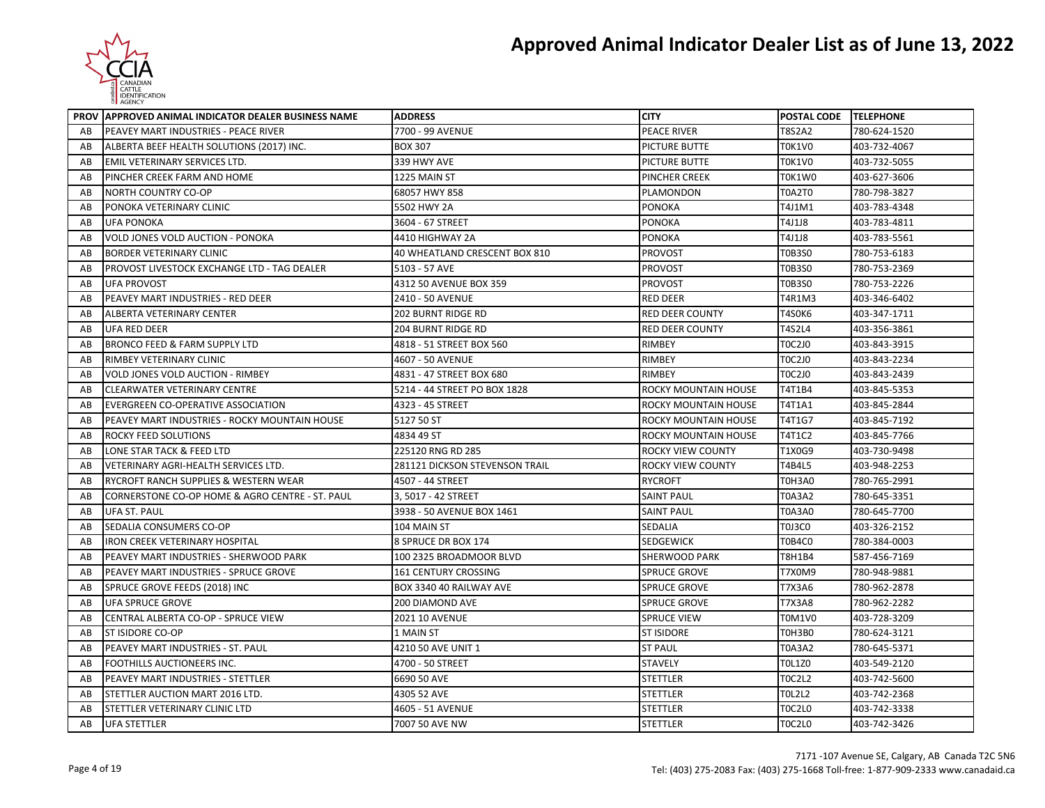

|    | PROV APPROVED ANIMAL INDICATOR DEALER BUSINESS NAME | <b>ADDRESS</b>                 | <b>CITY</b>                 | POSTAL CODE TELEPHONE |              |
|----|-----------------------------------------------------|--------------------------------|-----------------------------|-----------------------|--------------|
| AB | PEAVEY MART INDUSTRIES - PEACE RIVER                | 7700 - 99 AVENUE               | <b>PEACE RIVER</b>          | T8S2A2                | 780-624-1520 |
| AB | ALBERTA BEEF HEALTH SOLUTIONS (2017) INC.           | <b>BOX 307</b>                 | PICTURE BUTTE               | TOK1VO                | 403-732-4067 |
| AB | EMIL VETERINARY SERVICES LTD.                       | 339 HWY AVE                    | PICTURE BUTTE               | <b>TOK1VO</b>         | 403-732-5055 |
| AB | PINCHER CREEK FARM AND HOME                         | 1225 MAIN ST                   | PINCHER CREEK               | TOK1WO                | 403-627-3606 |
| AB | <b>NORTH COUNTRY CO-OP</b>                          | 68057 HWY 858                  | PLAMONDON                   | <b>T0A2T0</b>         | 780-798-3827 |
| AB | PONOKA VETERINARY CLINIC                            | 5502 HWY 2A                    | <b>PONOKA</b>               | T4J1M1                | 403-783-4348 |
| AB | <b>UFA PONOKA</b>                                   | 3604 - 67 STREET               | <b>PONOKA</b>               | T4J1J8                | 403-783-4811 |
| AB | VOLD JONES VOLD AUCTION - PONOKA                    | 4410 HIGHWAY 2A                | <b>PONOKA</b>               | T4J1J8                | 403-783-5561 |
| AB | <b>BORDER VETERINARY CLINIC</b>                     | 40 WHEATLAND CRESCENT BOX 810  | <b>PROVOST</b>              | T0B3S0                | 780-753-6183 |
| AB | PROVOST LIVESTOCK EXCHANGE LTD - TAG DEALER         | 5103 - 57 AVE                  | <b>PROVOST</b>              | T0B3S0                | 780-753-2369 |
| AB | <b>UFA PROVOST</b>                                  | 4312 50 AVENUE BOX 359         | <b>PROVOST</b>              | <b>T0B3S0</b>         | 780-753-2226 |
| AB | PEAVEY MART INDUSTRIES - RED DEER                   | 2410 - 50 AVENUE               | <b>RED DEER</b>             | T4R1M3                | 403-346-6402 |
| AB | ALBERTA VETERINARY CENTER                           | 202 BURNT RIDGE RD             | <b>RED DEER COUNTY</b>      | T4SOK6                | 403-347-1711 |
| AB | <b>UFA RED DEER</b>                                 | <b>204 BURNT RIDGE RD</b>      | <b>RED DEER COUNTY</b>      | T4S2L4                | 403-356-3861 |
| AB | BRONCO FEED & FARM SUPPLY LTD                       | 4818 - 51 STREET BOX 560       | RIMBEY                      | <b>TOC2J0</b>         | 403-843-3915 |
| AB | RIMBEY VETERINARY CLINIC                            | 4607 - 50 AVENUE               | <b>RIMBEY</b>               | TOC2JO                | 403-843-2234 |
| AB | VOLD JONES VOLD AUCTION - RIMBEY                    | 4831 - 47 STREET BOX 680       | <b>RIMBEY</b>               | <b>TOC2J0</b>         | 403-843-2439 |
| AB | <b>CLEARWATER VETERINARY CENTRE</b>                 | 5214 - 44 STREET PO BOX 1828   | ROCKY MOUNTAIN HOUSE        | T4T1B4                | 403-845-5353 |
| AB | EVERGREEN CO-OPERATIVE ASSOCIATION                  | 4323 - 45 STREET               | <b>ROCKY MOUNTAIN HOUSE</b> | T4T1A1                | 403-845-2844 |
| AB | PEAVEY MART INDUSTRIES - ROCKY MOUNTAIN HOUSE       | 5127 50 ST                     | ROCKY MOUNTAIN HOUSE        | T4T1G7                | 403-845-7192 |
| AB | ROCKY FEED SOLUTIONS                                | 4834 49 ST                     | ROCKY MOUNTAIN HOUSE        | T4T1C2                | 403-845-7766 |
| AB | LONE STAR TACK & FEED LTD                           | 225120 RNG RD 285              | ROCKY VIEW COUNTY           | T1X0G9                | 403-730-9498 |
| AB | VETERINARY AGRI-HEALTH SERVICES LTD.                | 281121 DICKSON STEVENSON TRAIL | <b>ROCKY VIEW COUNTY</b>    | T4B4L5                | 403-948-2253 |
| AB | RYCROFT RANCH SUPPLIES & WESTERN WEAR               | 4507 - 44 STREET               | <b>RYCROFT</b>              | T0H3A0                | 780-765-2991 |
| AB | CORNERSTONE CO-OP HOME & AGRO CENTRE - ST. PAUL     | 3, 5017 - 42 STREET            | <b>SAINT PAUL</b>           | T0A3A2                | 780-645-3351 |
| AB | UFA ST. PAUL                                        | 3938 - 50 AVENUE BOX 1461      | SAINT PAUL                  | T0A3A0                | 780-645-7700 |
| AB | SEDALIA CONSUMERS CO-OP                             | 104 MAIN ST                    | SEDALIA                     | TOJ3CO                | 403-326-2152 |
| AB | IRON CREEK VETERINARY HOSPITAL                      | 8 SPRUCE DR BOX 174            | <b>SEDGEWICK</b>            | T0B4C0                | 780-384-0003 |
| AB | PEAVEY MART INDUSTRIES - SHERWOOD PARK              | 100 2325 BROADMOOR BLVD        | <b>SHERWOOD PARK</b>        | T8H1B4                | 587-456-7169 |
| AB | PEAVEY MART INDUSTRIES - SPRUCE GROVE               | <b>161 CENTURY CROSSING</b>    | <b>SPRUCE GROVE</b>         | T7X0M9                | 780-948-9881 |
| AB | SPRUCE GROVE FEEDS (2018) INC                       | BOX 3340 40 RAILWAY AVE        | <b>SPRUCE GROVE</b>         | T7X3A6                | 780-962-2878 |
| AB | UFA SPRUCE GROVE                                    | 200 DIAMOND AVE                | <b>SPRUCE GROVE</b>         | T7X3A8                | 780-962-2282 |
| AB | CENTRAL ALBERTA CO-OP - SPRUCE VIEW                 | 2021 10 AVENUE                 | <b>SPRUCE VIEW</b>          | T0M1V0                | 403-728-3209 |
| AB | ST ISIDORE CO-OP                                    | 1 MAIN ST                      | <b>ST ISIDORE</b>           | <b>T0H3B0</b>         | 780-624-3121 |
| AB | PEAVEY MART INDUSTRIES - ST. PAUL                   | 4210 50 AVE UNIT 1             | <b>ST PAUL</b>              | T0A3A2                | 780-645-5371 |
| AB | FOOTHILLS AUCTIONEERS INC.                          | 4700 - 50 STREET               | <b>STAVELY</b>              | <b>TOL1Z0</b>         | 403-549-2120 |
| AB | PEAVEY MART INDUSTRIES - STETTLER                   | 6690 50 AVE                    | <b>STETTLER</b>             | <b>TOC2L2</b>         | 403-742-5600 |
| AB | STETTLER AUCTION MART 2016 LTD.                     | 4305 52 AVE                    | STETTLER                    | TOL2L2                | 403-742-2368 |
| AB | STETTLER VETERINARY CLINIC LTD                      | 4605 - 51 AVENUE               | <b>STETTLER</b>             | TOC2LO                | 403-742-3338 |
| AB | <b>UFA STETTLER</b>                                 | 7007 50 AVE NW                 | <b>STETTLER</b>             | TOC2LO                | 403-742-3426 |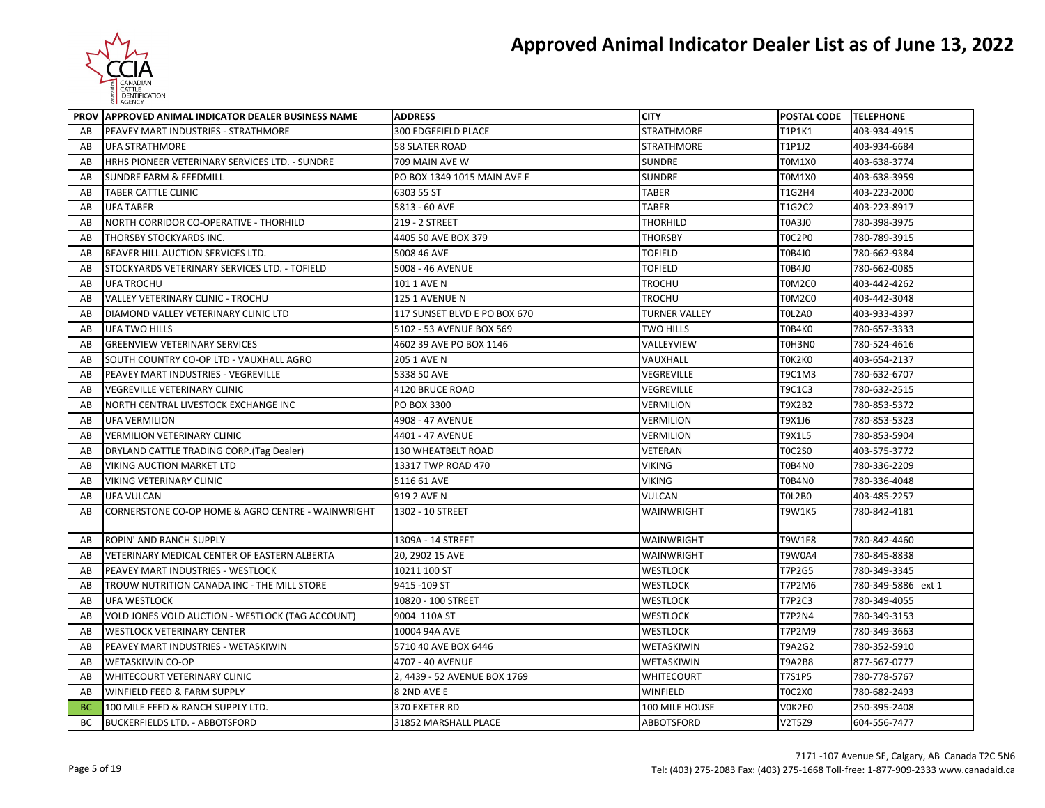

|           | PROV APPROVED ANIMAL INDICATOR DEALER BUSINESS NAME | <b>ADDRESS</b>               | <b>CITY</b>          | POSTAL CODE TELEPHONE |                    |
|-----------|-----------------------------------------------------|------------------------------|----------------------|-----------------------|--------------------|
| AB        | PEAVEY MART INDUSTRIES - STRATHMORE                 | 300 EDGEFIELD PLACE          | <b>STRATHMORE</b>    | T1P1K1                | 403-934-4915       |
| AB        | <b>UFA STRATHMORE</b>                               | <b>58 SLATER ROAD</b>        | <b>STRATHMORE</b>    | T1P1J2                | 403-934-6684       |
| AB        | HRHS PIONEER VETERINARY SERVICES LTD. - SUNDRE      | 709 MAIN AVE W               | <b>SUNDRE</b>        | T0M1X0                | 403-638-3774       |
| AB        | <b>SUNDRE FARM &amp; FEEDMILL</b>                   | PO BOX 1349 1015 MAIN AVE E  | SUNDRE               | T0M1X0                | 403-638-3959       |
| AB        | TABER CATTLE CLINIC                                 | 6303 55 ST                   | <b>TABER</b>         | T1G2H4                | 403-223-2000       |
| AB        | <b>UFA TABER</b>                                    | 5813 - 60 AVE                | <b>TABER</b>         | T1G2C2                | 403-223-8917       |
| AB        | NORTH CORRIDOR CO-OPERATIVE - THORHILD              | 219 - 2 STREET               | <b>THORHILD</b>      | <b>T0A3J0</b>         | 780-398-3975       |
| AB        | THORSBY STOCKYARDS INC.                             | 4405 50 AVE BOX 379          | <b>THORSBY</b>       | TOC2P0                | 780-789-3915       |
| AB        | BEAVER HILL AUCTION SERVICES LTD.                   | 5008 46 AVE                  | <b>TOFIELD</b>       | T0B4J0                | 780-662-9384       |
| AB        | STOCKYARDS VETERINARY SERVICES LTD. - TOFIELD       | 5008 - 46 AVENUE             | TOFIELD              | T0B4J0                | 780-662-0085       |
| AB        | <b>UFA TROCHU</b>                                   | 101 1 AVE N                  | TROCHU               | TOM2CO                | 403-442-4262       |
| AB        | <b>VALLEY VETERINARY CLINIC - TROCHU</b>            | 125 1 AVENUE N               | <b>TROCHU</b>        | T0M2C0                | 403-442-3048       |
| AB        | DIAMOND VALLEY VETERINARY CLINIC LTD                | 117 SUNSET BLVD E PO BOX 670 | <b>TURNER VALLEY</b> | <b>TOL2A0</b>         | 403-933-4397       |
| AB        | UFA TWO HILLS                                       | 5102 - 53 AVENUE BOX 569     | <b>TWO HILLS</b>     | T0B4K0                | 780-657-3333       |
| AB        | <b>GREENVIEW VETERINARY SERVICES</b>                | 4602 39 AVE PO BOX 1146      | VALLEYVIEW           | T0H3N0                | 780-524-4616       |
| AB        | SOUTH COUNTRY CO-OP LTD - VAUXHALL AGRO             | 205 1 AVE N                  | VAUXHALL             | ТОК2КО                | 403-654-2137       |
| AB        | PEAVEY MART INDUSTRIES - VEGREVILLE                 | 5338 50 AVE                  | VEGREVILLE           | T9C1M3                | 780-632-6707       |
| AB        | <b>VEGREVILLE VETERINARY CLINIC</b>                 | 4120 BRUCE ROAD              | VEGREVILLE           | <b>T9C1C3</b>         | 780-632-2515       |
| AB        | NORTH CENTRAL LIVESTOCK EXCHANGE INC                | <b>PO BOX 3300</b>           | <b>VERMILION</b>     | T9X2B2                | 780-853-5372       |
| AB        | <b>UFA VERMILION</b>                                | 4908 - 47 AVENUE             | VERMILION            | T9X1J6                | 780-853-5323       |
| AB        | <b>VERMILION VETERINARY CLINIC</b>                  | 4401 - 47 AVENUE             | VERMILION            | T9X1L5                | 780-853-5904       |
| AB        | DRYLAND CATTLE TRADING CORP. (Tag Dealer)           | 130 WHEATBELT ROAD           | VETERAN              | T0C2S0                | 403-575-3772       |
| AB        | VIKING AUCTION MARKET LTD                           | 13317 TWP ROAD 470           | VIKING               | T0B4N0                | 780-336-2209       |
| AB        | VIKING VETERINARY CLINIC                            | 5116 61 AVE                  | <b>VIKING</b>        | T0B4N0                | 780-336-4048       |
| AB        | UFA VULCAN                                          | 919 2 AVE N                  | <b>VULCAN</b>        | TOL2BO                | 403-485-2257       |
| AB        | CORNERSTONE CO-OP HOME & AGRO CENTRE - WAINWRIGHT   | 1302 - 10 STREET             | <b>WAINWRIGHT</b>    | T9W1K5                | 780-842-4181       |
| AB        | <b>ROPIN' AND RANCH SUPPLY</b>                      | 1309A - 14 STREET            | WAINWRIGHT           | <b>T9W1E8</b>         | 780-842-4460       |
| AB        | VETERINARY MEDICAL CENTER OF EASTERN ALBERTA        | 20, 2902 15 AVE              | WAINWRIGHT           | T9W0A4                | 780-845-8838       |
| AB        | PEAVEY MART INDUSTRIES - WESTLOCK                   | 10211 100 ST                 | <b>WESTLOCK</b>      | T7P2G5                | 780-349-3345       |
| AB        | TROUW NUTRITION CANADA INC - THE MILL STORE         | 9415 - 109 ST                | WESTLOCK             | T7P2M6                | 780-349-5886 ext 1 |
| AB        | <b>UFA WESTLOCK</b>                                 | 10820 - 100 STREET           | WESTLOCK             | T7P2C3                | 780-349-4055       |
| AB        | VOLD JONES VOLD AUCTION - WESTLOCK (TAG ACCOUNT)    | 9004 110A ST                 | <b>WESTLOCK</b>      | T7P2N4                | 780-349-3153       |
| AB        | <b>WESTLOCK VETERINARY CENTER</b>                   | 10004 94A AVE                | <b>WESTLOCK</b>      | T7P2M9                | 780-349-3663       |
| AB        | PEAVEY MART INDUSTRIES - WETASKIWIN                 | 5710 40 AVE BOX 6446         | WETASKIWIN           | T9A2G2                | 780-352-5910       |
| AB        | <b>WETASKIWIN CO-OP</b>                             | 4707 - 40 AVENUE             | WETASKIWIN           | T9A2B8                | 877-567-0777       |
| AB        | WHITECOURT VETERINARY CLINIC                        | 2, 4439 - 52 AVENUE BOX 1769 | WHITECOURT           | T7S1P5                | 780-778-5767       |
| AB        | WINFIELD FEED & FARM SUPPLY                         | 8 2ND AVE E                  | WINFIELD             | TOC2X0                | 780-682-2493       |
| <b>BC</b> | 100 MILE FEED & RANCH SUPPLY LTD.                   | 370 EXETER RD                | 100 MILE HOUSE       | VOK2E0                | 250-395-2408       |
| BС        | <b>BUCKERFIELDS LTD. - ABBOTSFORD</b>               | 31852 MARSHALL PLACE         | <b>ABBOTSFORD</b>    | V2T5Z9                | 604-556-7477       |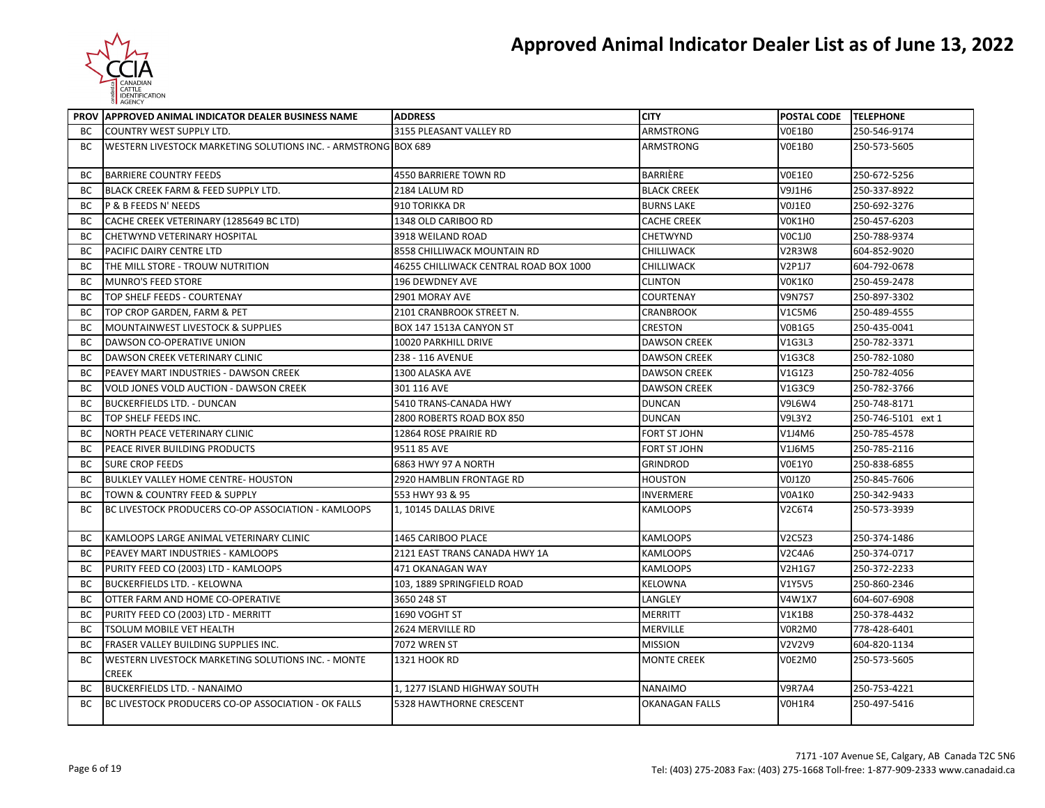

|           | PROV APPROVED ANIMAL INDICATOR DEALER BUSINESS NAME                | <b>ADDRESS</b>                         | <b>CITY</b>         | POSTAL CODE TELEPHONE |                    |
|-----------|--------------------------------------------------------------------|----------------------------------------|---------------------|-----------------------|--------------------|
| <b>BC</b> | <b>COUNTRY WEST SUPPLY LTD.</b>                                    | 3155 PLEASANT VALLEY RD                | ARMSTRONG           | <b>V0E1B0</b>         | 250-546-9174       |
| BС        | WESTERN LIVESTOCK MARKETING SOLUTIONS INC. - ARMSTRONG BOX 689     |                                        | <b>ARMSTRONG</b>    | V0E1B0                | 250-573-5605       |
| ВC        | <b>BARRIERE COUNTRY FEEDS</b>                                      | 4550 BARRIERE TOWN RD                  | BARRIÈRE            | VOE1EO                | 250-672-5256       |
| ВC        | <b>BLACK CREEK FARM &amp; FEED SUPPLY LTD.</b>                     | 2184 LALUM RD                          | <b>BLACK CREEK</b>  | V9J1H6                | 250-337-8922       |
| <b>BC</b> | <b>P &amp; B FEEDS N' NEEDS</b>                                    | 910 TORIKKA DR                         | <b>BURNS LAKE</b>   | VOJ1EO                | 250-692-3276       |
| ВC        | CACHE CREEK VETERINARY (1285649 BC LTD)                            | 1348 OLD CARIBOO RD                    | <b>CACHE CREEK</b>  | V0K1H0                | 250-457-6203       |
| BC        | <b>CHETWYND VETERINARY HOSPITAL</b>                                | 3918 WEILAND ROAD                      | <b>CHETWYND</b>     | <b>VOC1JO</b>         | 250-788-9374       |
| ВC        | PACIFIC DAIRY CENTRE LTD                                           | 8558 CHILLIWACK MOUNTAIN RD            | <b>CHILLIWACK</b>   | V2R3W8                | 604-852-9020       |
| ВC        | THE MILL STORE - TROUW NUTRITION                                   | 46255 CHILLIWACK CENTRAL ROAD BOX 1000 | CHILLIWACK          | V2P1J7                | 604-792-0678       |
| <b>BC</b> | <b>MUNRO'S FEED STORE</b>                                          | 196 DEWDNEY AVE                        | <b>CLINTON</b>      | VOK1KO                | 250-459-2478       |
| ВC        | TOP SHELF FEEDS - COURTENAY                                        | 2901 MORAY AVE                         | <b>COURTENAY</b>    | <b>V9N7S7</b>         | 250-897-3302       |
| BC        | TOP CROP GARDEN, FARM & PET                                        | 2101 CRANBROOK STREET N.               | <b>CRANBROOK</b>    | V1C5M6                | 250-489-4555       |
| BC        | MOUNTAINWEST LIVESTOCK & SUPPLIES                                  | BOX 147 1513A CANYON ST                | <b>CRESTON</b>      | <b>V0B1G5</b>         | 250-435-0041       |
| ВC        | DAWSON CO-OPERATIVE UNION                                          | 10020 PARKHILL DRIVE                   | <b>DAWSON CREEK</b> | V1G3L3                | 250-782-3371       |
| BC        | DAWSON CREEK VETERINARY CLINIC                                     | 238 - 116 AVENUE                       | <b>DAWSON CREEK</b> | V1G3C8                | 250-782-1080       |
| <b>BC</b> | PEAVEY MART INDUSTRIES - DAWSON CREEK                              | 1300 ALASKA AVE                        | <b>DAWSON CREEK</b> | V1G1Z3                | 250-782-4056       |
| ВC        | <b>VOLD JONES VOLD AUCTION - DAWSON CREEK</b>                      | 301 116 AVE                            | <b>DAWSON CREEK</b> | V1G3C9                | 250-782-3766       |
| ВC        | <b>BUCKERFIELDS LTD. - DUNCAN</b>                                  | 5410 TRANS-CANADA HWY                  | <b>DUNCAN</b>       | <b>V9L6W4</b>         | 250-748-8171       |
| BC        | TOP SHELF FEEDS INC.                                               | 2800 ROBERTS ROAD BOX 850              | <b>DUNCAN</b>       | <b>V9L3Y2</b>         | 250-746-5101 ext 1 |
| ВC        | NORTH PEACE VETERINARY CLINIC                                      | 12864 ROSE PRAIRIE RD                  | FORT ST JOHN        | V1J4M6                | 250-785-4578       |
| ВC        | PEACE RIVER BUILDING PRODUCTS                                      | 9511 85 AVE                            | FORT ST JOHN        | V1J6M5                | 250-785-2116       |
| BC        | <b>SURE CROP FEEDS</b>                                             | 6863 HWY 97 A NORTH                    | <b>GRINDROD</b>     | V0E1Y0                | 250-838-6855       |
| ВC        | <b>BULKLEY VALLEY HOME CENTRE- HOUSTON</b>                         | 2920 HAMBLIN FRONTAGE RD               | <b>HOUSTON</b>      | V0J1Z0                | 250-845-7606       |
| ВC        | TOWN & COUNTRY FEED & SUPPLY                                       | 553 HWY 93 & 95                        | <b>INVERMERE</b>    | V0A1K0                | 250-342-9433       |
| <b>BC</b> | BC LIVESTOCK PRODUCERS CO-OP ASSOCIATION - KAMLOOPS                | 1. 10145 DALLAS DRIVE                  | <b>KAMLOOPS</b>     | V2C6T4                | 250-573-3939       |
| BC        | KAMLOOPS LARGE ANIMAL VETERINARY CLINIC                            | 1465 CARIBOO PLACE                     | <b>KAMLOOPS</b>     | V2C5Z3                | 250-374-1486       |
| BC        | PEAVEY MART INDUSTRIES - KAMLOOPS                                  | 2121 EAST TRANS CANADA HWY 1A          | KAMLOOPS            | V2C4A6                | 250-374-0717       |
| BC        | PURITY FEED CO (2003) LTD - KAMLOOPS                               | 471 OKANAGAN WAY                       | <b>KAMLOOPS</b>     | V2H1G7                | 250-372-2233       |
| ВC        | <b>BUCKERFIELDS LTD. - KELOWNA</b>                                 | 103. 1889 SPRINGFIELD ROAD             | <b>KELOWNA</b>      | <b>V1Y5V5</b>         | 250-860-2346       |
| BC        | OTTER FARM AND HOME CO-OPERATIVE                                   | 3650 248 ST                            | LANGLEY             | V4W1X7                | 604-607-6908       |
| BC        | PURITY FEED CO (2003) LTD - MERRITT                                | 1690 VOGHT ST                          | MERRITT             | <b>V1K1B8</b>         | 250-378-4432       |
| ВC        | TSOLUM MOBILE VET HEALTH                                           | 2624 MERVILLE RD                       | MERVILLE            | V0R2M0                | 778-428-6401       |
| BC        | FRASER VALLEY BUILDING SUPPLIES INC.                               | 7072 WREN ST                           | <b>MISSION</b>      | V2V2V9                | 604-820-1134       |
| BC        | WESTERN LIVESTOCK MARKETING SOLUTIONS INC. - MONTE<br><b>CREEK</b> | 1321 HOOK RD                           | <b>MONTE CREEK</b>  | V0E2M0                | 250-573-5605       |
| ВC        | <b>BUCKERFIELDS LTD. - NANAIMO</b>                                 | 1, 1277 ISLAND HIGHWAY SOUTH           | <b>NANAIMO</b>      | <b>V9R7A4</b>         | 250-753-4221       |
| ВC        | BC LIVESTOCK PRODUCERS CO-OP ASSOCIATION - OK FALLS                | 5328 HAWTHORNE CRESCENT                | OKANAGAN FALLS      | V0H1R4                | 250-497-5416       |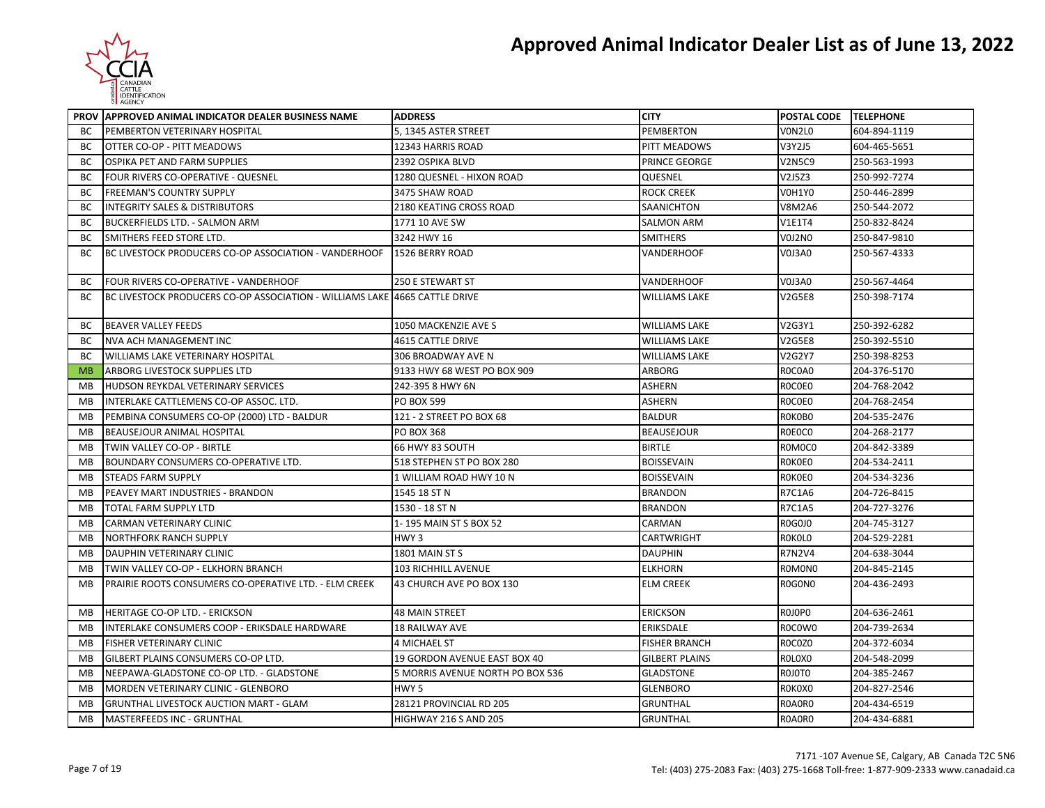

|           | PROV APPROVED ANIMAL INDICATOR DEALER BUSINESS NAME                        | <b>ADDRESS</b>                   | <b>CITY</b>           | POSTAL CODE TELEPHONE |              |
|-----------|----------------------------------------------------------------------------|----------------------------------|-----------------------|-----------------------|--------------|
| BС        | PEMBERTON VETERINARY HOSPITAL                                              | 5, 1345 ASTER STREET             | <b>PEMBERTON</b>      | VON2LO                | 604-894-1119 |
| BС        | OTTER CO-OP - PITT MEADOWS                                                 | 12343 HARRIS ROAD                | PITT MEADOWS          | V3Y2J5                | 604-465-5651 |
| BC        | <b>OSPIKA PET AND FARM SUPPLIES</b>                                        | 2392 OSPIKA BLVD                 | PRINCE GEORGE         | <b>V2N5C9</b>         | 250-563-1993 |
| BC        | FOUR RIVERS CO-OPERATIVE - QUESNEL                                         | 1280 QUESNEL - HIXON ROAD        | QUESNEL               | V2J5Z3                | 250-992-7274 |
| BС        | <b>FREEMAN'S COUNTRY SUPPLY</b>                                            | 3475 SHAW ROAD                   | <b>ROCK CREEK</b>     | <b>V0H1Y0</b>         | 250-446-2899 |
| BC        | <b>INTEGRITY SALES &amp; DISTRIBUTORS</b>                                  | 2180 KEATING CROSS ROAD          | SAANICHTON            | <b>V8M2A6</b>         | 250-544-2072 |
| BС        | <b>BUCKERFIELDS LTD. - SALMON ARM</b>                                      | 1771 10 AVE SW                   | <b>SALMON ARM</b>     | <b>V1E1T4</b>         | 250-832-8424 |
| BC        | SMITHERS FEED STORE LTD.                                                   | 3242 HWY 16                      | <b>SMITHERS</b>       | V0J2N0                | 250-847-9810 |
| BC        | BC LIVESTOCK PRODUCERS CO-OP ASSOCIATION - VANDERHOOF                      | 1526 BERRY ROAD                  | <b>VANDERHOOF</b>     | V0J3A0                | 250-567-4333 |
| BС        | FOUR RIVERS CO-OPERATIVE - VANDERHOOF                                      | 250 E STEWART ST                 | VANDERHOOF            | V0J3A0                | 250-567-4464 |
| BС        | BC LIVESTOCK PRODUCERS CO-OP ASSOCIATION - WILLIAMS LAKE 4665 CATTLE DRIVE |                                  | <b>WILLIAMS LAKE</b>  | <b>V2G5E8</b>         | 250-398-7174 |
| ВC        | <b>BEAVER VALLEY FEEDS</b>                                                 | 1050 MACKENZIE AVE S             | <b>WILLIAMS LAKE</b>  | V2G3Y1                | 250-392-6282 |
| <b>BC</b> | <b>NVA ACH MANAGEMENT INC</b>                                              | 4615 CATTLE DRIVE                | <b>WILLIAMS LAKE</b>  | <b>V2G5E8</b>         | 250-392-5510 |
| ВC        | WILLIAMS LAKE VETERINARY HOSPITAL                                          | 306 BROADWAY AVE N               | <b>WILLIAMS LAKE</b>  | V2G2Y7                | 250-398-8253 |
| <b>MB</b> | ARBORG LIVESTOCK SUPPLIES LTD                                              | 9133 HWY 68 WEST PO BOX 909      | <b>ARBORG</b>         | ROCOAO                | 204-376-5170 |
| <b>MB</b> | HUDSON REYKDAL VETERINARY SERVICES                                         | 242-395 8 HWY 6N                 | <b>ASHERN</b>         | ROCOE0                | 204-768-2042 |
| MB        | INTERLAKE CATTLEMENS CO-OP ASSOC. LTD.                                     | PO BOX 599                       | ASHERN                | ROCOE0                | 204-768-2454 |
| <b>MB</b> | PEMBINA CONSUMERS CO-OP (2000) LTD - BALDUR                                | 121 - 2 STREET PO BOX 68         | <b>BALDUR</b>         | ROKOBO                | 204-535-2476 |
| MB        | BEAUSEJOUR ANIMAL HOSPITAL                                                 | <b>PO BOX 368</b>                | <b>BEAUSEJOUR</b>     | R0E0C0                | 204-268-2177 |
| <b>MB</b> | TWIN VALLEY CO-OP - BIRTLE                                                 | 66 HWY 83 SOUTH                  | <b>BIRTLE</b>         | R0M0C0                | 204-842-3389 |
| MВ        | <b>BOUNDARY CONSUMERS CO-OPERATIVE LTD.</b>                                | 518 STEPHEN ST PO BOX 280        | <b>BOISSEVAIN</b>     | <b>ROKOEO</b>         | 204-534-2411 |
| MB        | <b>STEADS FARM SUPPLY</b>                                                  | 1 WILLIAM ROAD HWY 10 N          | <b>BOISSEVAIN</b>     | <b>ROKOEO</b>         | 204-534-3236 |
| <b>MB</b> | PEAVEY MART INDUSTRIES - BRANDON                                           | 1545 18 ST N                     | <b>BRANDON</b>        | R7C1A6                | 204-726-8415 |
| MB        | TOTAL FARM SUPPLY LTD                                                      | 1530 - 18 ST N                   | <b>BRANDON</b>        | R7C1A5                | 204-727-3276 |
| <b>MB</b> | CARMAN VETERINARY CLINIC                                                   | 1-195 MAIN ST S BOX 52           | CARMAN                | R0G0J0                | 204-745-3127 |
| <b>MB</b> | <b>NORTHFORK RANCH SUPPLY</b>                                              | HWY 3                            | CARTWRIGHT            | <b>ROKOLO</b>         | 204-529-2281 |
| <b>MB</b> | DAUPHIN VETERINARY CLINIC                                                  | 1801 MAIN ST S                   | <b>DAUPHIN</b>        | R7N2V4                | 204-638-3044 |
| <b>MB</b> | TWIN VALLEY CO-OP - ELKHORN BRANCH                                         | 103 RICHHILL AVENUE              | <b>ELKHORN</b>        | ROMONO                | 204-845-2145 |
| <b>MB</b> | PRAIRIE ROOTS CONSUMERS CO-OPERATIVE LTD. - ELM CREEK                      | 43 CHURCH AVE PO BOX 130         | <b>ELM CREEK</b>      | R0G0N0                | 204-436-2493 |
| MB        | HERITAGE CO-OP LTD. - ERICKSON                                             | <b>48 MAIN STREET</b>            | <b>ERICKSON</b>       | ROJOPO                | 204-636-2461 |
| MВ        | INTERLAKE CONSUMERS COOP - ERIKSDALE HARDWARE                              | <b>18 RAILWAY AVE</b>            | <b>ERIKSDALE</b>      | R0C0W0                | 204-739-2634 |
| <b>MB</b> | <b>FISHER VETERINARY CLINIC</b>                                            | <b>4 MICHAEL ST</b>              | <b>FISHER BRANCH</b>  | ROCOZO                | 204-372-6034 |
| <b>MB</b> | GILBERT PLAINS CONSUMERS CO-OP LTD.                                        | 19 GORDON AVENUE EAST BOX 40     | <b>GILBERT PLAINS</b> | ROLOXO                | 204-548-2099 |
| MB        | NEEPAWA-GLADSTONE CO-OP LTD. - GLADSTONE                                   | 5 MORRIS AVENUE NORTH PO BOX 536 | <b>GLADSTONE</b>      | ROJOTO                | 204-385-2467 |
| <b>MB</b> | MORDEN VETERINARY CLINIC - GLENBORO                                        | HWY <sub>5</sub>                 | <b>GLENBORO</b>       | ROKOXO                | 204-827-2546 |
| <b>MB</b> | <b>GRUNTHAL LIVESTOCK AUCTION MART - GLAM</b>                              | 28121 PROVINCIAL RD 205          | <b>GRUNTHAL</b>       | R0A0R0                | 204-434-6519 |
| MB        | MASTERFEEDS INC - GRUNTHAL                                                 | HIGHWAY 216 S AND 205            | <b>GRUNTHAL</b>       | R0A0R0                | 204-434-6881 |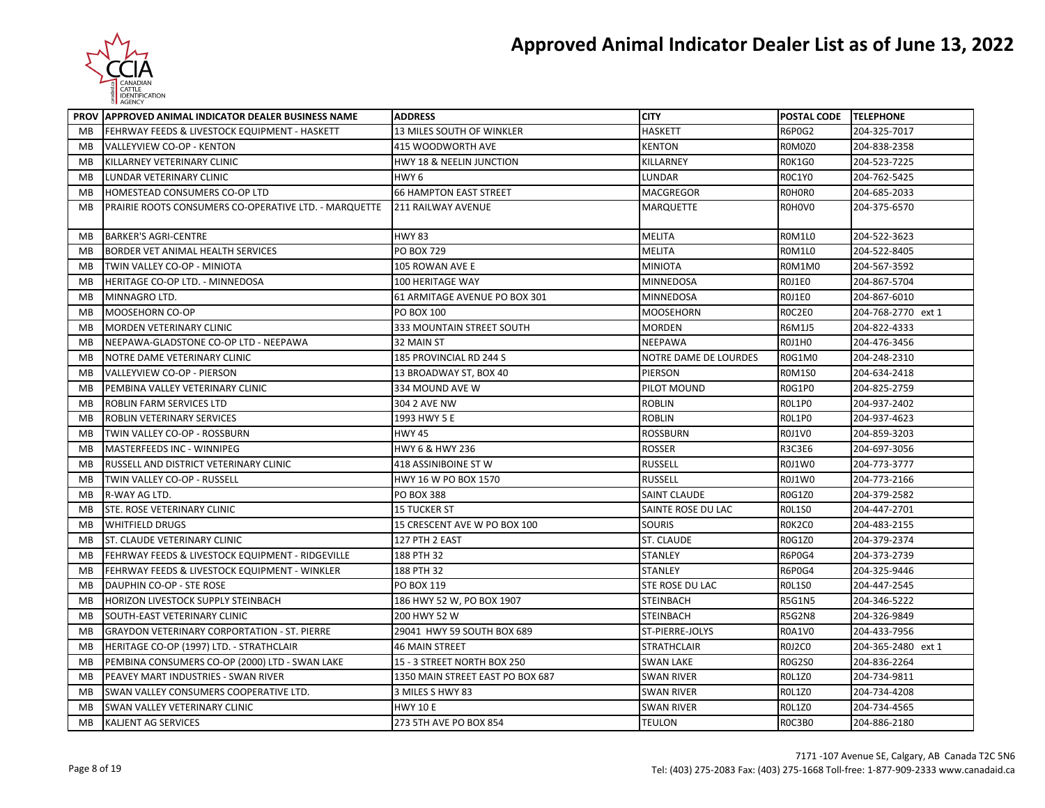

|           | PROV APPROVED ANIMAL INDICATOR DEALER BUSINESS NAME   | <b>ADDRESS</b>                      | <b>CITY</b>           | POSTAL CODE TELEPHONE |                    |
|-----------|-------------------------------------------------------|-------------------------------------|-----------------------|-----------------------|--------------------|
| MB        | FEHRWAY FEEDS & LIVESTOCK EQUIPMENT - HASKETT         | 13 MILES SOUTH OF WINKLER           | <b>HASKETT</b>        | R6P0G2                | 204-325-7017       |
| MB        | VALLEYVIEW CO-OP - KENTON                             | 415 WOODWORTH AVE                   | <b>KENTON</b>         | R0M0Z0                | 204-838-2358       |
| MB        | KILLARNEY VETERINARY CLINIC                           | <b>HWY 18 &amp; NEELIN JUNCTION</b> | KILLARNEY             | R0K1G0                | 204-523-7225       |
| MB        | LUNDAR VETERINARY CLINIC                              | HWY <sub>6</sub>                    | LUNDAR                | <b>ROC1YO</b>         | 204-762-5425       |
| MB        | HOMESTEAD CONSUMERS CO-OP LTD                         | <b>66 HAMPTON EAST STREET</b>       | MACGREGOR             | ROHORO                | 204-685-2033       |
| MB        | PRAIRIE ROOTS CONSUMERS CO-OPERATIVE LTD. - MARQUETTE | <b>211 RAILWAY AVENUE</b>           | <b>MARQUETTE</b>      | R0H0V0                | 204-375-6570       |
|           |                                                       |                                     |                       |                       |                    |
| MB        | <b>BARKER'S AGRI-CENTRE</b>                           | <b>HWY 83</b>                       | <b>MELITA</b>         | ROM1LO                | 204-522-3623       |
| MВ        | BORDER VET ANIMAL HEALTH SERVICES                     | <b>PO BOX 729</b>                   | MELITA                | ROM1LO                | 204-522-8405       |
| MB        | TWIN VALLEY CO-OP - MINIOTA                           | 105 ROWAN AVE E                     | <b>MINIOTA</b>        | R0M1M0                | 204-567-3592       |
| MB        | HERITAGE CO-OP LTD. - MINNEDOSA                       | 100 HERITAGE WAY                    | MINNEDOSA             | ROJ1E0                | 204-867-5704       |
| MВ        | MINNAGRO LTD.                                         | 61 ARMITAGE AVENUE PO BOX 301       | <b>MINNEDOSA</b>      | ROJ1EO                | 204-867-6010       |
| MB        | MOOSEHORN CO-OP                                       | PO BOX 100                          | <b>MOOSEHORN</b>      | ROC2E0                | 204-768-2770 ext 1 |
| MB        | <b>MORDEN VETERINARY CLINIC</b>                       | 333 MOUNTAIN STREET SOUTH           | MORDEN                | <b>R6M1J5</b>         | 204-822-4333       |
| MB        | NEEPAWA-GLADSTONE CO-OP LTD - NEEPAWA                 | 32 MAIN ST                          | <b>NEEPAWA</b>        | ROJ1HO                | 204-476-3456       |
| MB        | NOTRE DAME VETERINARY CLINIC                          | 185 PROVINCIAL RD 244 S             | NOTRE DAME DE LOURDES | R0G1M0                | 204-248-2310       |
| MB        | VALLEYVIEW CO-OP - PIERSON                            | 13 BROADWAY ST, BOX 40              | PIERSON               | <b>ROM1S0</b>         | 204-634-2418       |
| MB        | PEMBINA VALLEY VETERINARY CLINIC                      | 334 MOUND AVE W                     | PILOT MOUND           | R0G1P0                | 204-825-2759       |
| MB        | <b>ROBLIN FARM SERVICES LTD</b>                       | 304 2 AVE NW                        | <b>ROBLIN</b>         | ROL1PO                | 204-937-2402       |
| MB        | ROBLIN VETERINARY SERVICES                            | 1993 HWY 5 E                        | <b>ROBLIN</b>         | ROL1PO                | 204-937-4623       |
| MB        | TWIN VALLEY CO-OP - ROSSBURN                          | <b>HWY 45</b>                       | <b>ROSSBURN</b>       | ROJ1VO                | 204-859-3203       |
| <b>MB</b> | MASTERFEEDS INC - WINNIPEG                            | HWY 6 & HWY 236                     | <b>ROSSER</b>         | R3C3E6                | 204-697-3056       |
| MB        | RUSSELL AND DISTRICT VETERINARY CLINIC                | 418 ASSINIBOINE ST W                | <b>RUSSELL</b>        | R0J1W0                | 204-773-3777       |
| MB        | TWIN VALLEY CO-OP - RUSSELL                           | HWY 16 W PO BOX 1570                | <b>RUSSELL</b>        | R0J1W0                | 204-773-2166       |
| MB        | R-WAY AG LTD.                                         | <b>PO BOX 388</b>                   | <b>SAINT CLAUDE</b>   | <b>R0G1Z0</b>         | 204-379-2582       |
| MB        | <b>STE. ROSE VETERINARY CLINIC</b>                    | <b>15 TUCKER ST</b>                 | SAINTE ROSE DU LAC    | ROL1SO                | 204-447-2701       |
| MB        | <b>WHITFIELD DRUGS</b>                                | 15 CRESCENT AVE W PO BOX 100        | <b>SOURIS</b>         | ROK2CO                | 204-483-2155       |
| MB        | ST. CLAUDE VETERINARY CLINIC                          | 127 PTH 2 EAST                      | ST. CLAUDE            | <b>R0G1Z0</b>         | 204-379-2374       |
| MB        | FEHRWAY FEEDS & LIVESTOCK EQUIPMENT - RIDGEVILLE      | 188 PTH 32                          | <b>STANLEY</b>        | <b>R6P0G4</b>         | 204-373-2739       |
| MB        | FEHRWAY FEEDS & LIVESTOCK EQUIPMENT - WINKLER         | 188 PTH 32                          | <b>STANLEY</b>        | <b>R6P0G4</b>         | 204-325-9446       |
| MB        | DAUPHIN CO-OP - STE ROSE                              | PO BOX 119                          | STE ROSE DU LAC       | <b>ROL1SO</b>         | 204-447-2545       |
| MB        | HORIZON LIVESTOCK SUPPLY STEINBACH                    | 186 HWY 52 W, PO BOX 1907           | STEINBACH             | <b>R5G1N5</b>         | 204-346-5222       |
| MB        | SOUTH-EAST VETERINARY CLINIC                          | 200 HWY 52 W                        | <b>STEINBACH</b>      | <b>R5G2N8</b>         | 204-326-9849       |
| MB        | <b>GRAYDON VETERINARY CORPORTATION - ST. PIERRE</b>   | 29041 HWY 59 SOUTH BOX 689          | ST-PIERRE-JOLYS       | <b>R0A1V0</b>         | 204-433-7956       |
| MB        | HERITAGE CO-OP (1997) LTD. - STRATHCLAIR              | <b>46 MAIN STREET</b>               | <b>STRATHCLAIR</b>    | ROJ2CO                | 204-365-2480 ext 1 |
| MB        | PEMBINA CONSUMERS CO-OP (2000) LTD - SWAN LAKE        | 15 - 3 STREET NORTH BOX 250         | <b>SWAN LAKE</b>      | <b>R0G2S0</b>         | 204-836-2264       |
| <b>MB</b> | PEAVEY MART INDUSTRIES - SWAN RIVER                   | 1350 MAIN STREET EAST PO BOX 687    | <b>SWAN RIVER</b>     | <b>ROL1Z0</b>         | 204-734-9811       |
| MB        | SWAN VALLEY CONSUMERS COOPERATIVE LTD.                | 3 MILES S HWY 83                    | SWAN RIVER            | <b>ROL1Z0</b>         | 204-734-4208       |
| MB        | SWAN VALLEY VETERINARY CLINIC                         | <b>HWY 10 E</b>                     | <b>SWAN RIVER</b>     | <b>ROL1Z0</b>         | 204-734-4565       |
| MВ        | KALJENT AG SERVICES                                   | 273 5TH AVE PO BOX 854              | <b>TEULON</b>         | ROC3BO                | 204-886-2180       |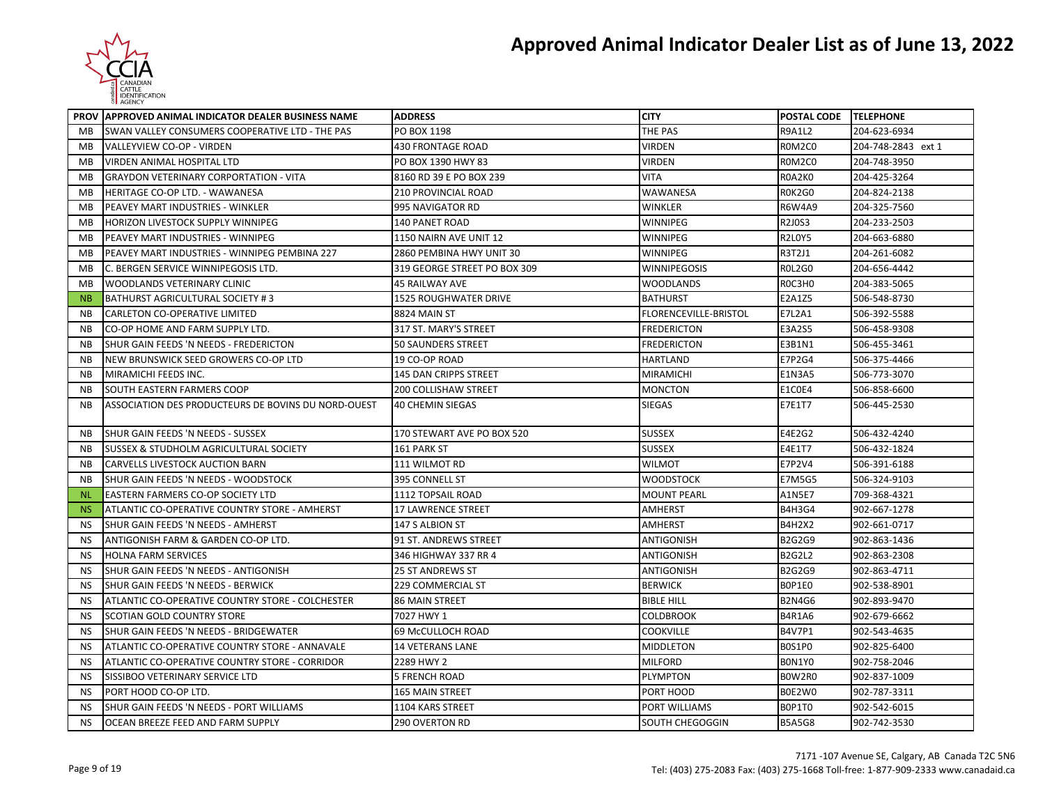

|           | PROV APPROVED ANIMAL INDICATOR DEALER BUSINESS NAME | <b>ADDRESS</b>               | <b>CITY</b>           | POSTAL CODE TELEPHONE |                    |
|-----------|-----------------------------------------------------|------------------------------|-----------------------|-----------------------|--------------------|
| MB        | SWAN VALLEY CONSUMERS COOPERATIVE LTD - THE PAS     | PO BOX 1198                  | THE PAS               | <b>R9A1L2</b>         | 204-623-6934       |
| MB        | VALLEYVIEW CO-OP - VIRDEN                           | <b>430 FRONTAGE ROAD</b>     | <b>VIRDEN</b>         | ROM2CO                | 204-748-2843 ext 1 |
| MB        | VIRDEN ANIMAL HOSPITAL LTD                          | PO BOX 1390 HWY 83           | VIRDEN                | ROM2CO                | 204-748-3950       |
| MВ        | <b>GRAYDON VETERINARY CORPORTATION - VITA</b>       | 8160 RD 39 E PO BOX 239      | VITA                  | ROA2KO                | 204-425-3264       |
| MB        | HERITAGE CO-OP LTD. - WAWANESA                      | 210 PROVINCIAL ROAD          | WAWANESA              | <b>ROK2GO</b>         | 204-824-2138       |
| MB        | PEAVEY MART INDUSTRIES - WINKLER                    | 995 NAVIGATOR RD             | WINKLER               | <b>R6W4A9</b>         | 204-325-7560       |
| MB        | HORIZON LIVESTOCK SUPPLY WINNIPEG                   | <b>140 PANET ROAD</b>        | WINNIPEG              | R2J0S3                | 204-233-2503       |
| MВ        | PEAVEY MART INDUSTRIES - WINNIPEG                   | 1150 NAIRN AVE UNIT 12       | WINNIPEG              | <b>R2LOY5</b>         | 204-663-6880       |
| MВ        | PEAVEY MART INDUSTRIES - WINNIPEG PEMBINA 227       | 2860 PEMBINA HWY UNIT 30     | WINNIPEG              | R3T2J1                | 204-261-6082       |
| MB        | C. BERGEN SERVICE WINNIPEGOSIS LTD.                 | 319 GEORGE STREET PO BOX 309 | WINNIPEGOSIS          | <b>ROL2G0</b>         | 204-656-4442       |
| MВ        | WOODLANDS VETERINARY CLINIC                         | <b>45 RAILWAY AVE</b>        | WOODLANDS             | ROC3HO                | 204-383-5065       |
| <b>NB</b> | <b>BATHURST AGRICULTURAL SOCIETY #3</b>             | 1525 ROUGHWATER DRIVE        | <b>BATHURST</b>       | E2A1Z5                | 506-548-8730       |
| ΝB        | CARLETON CO-OPERATIVE LIMITED                       | 8824 MAIN ST                 | FLORENCEVILLE-BRISTOL | E7L2A1                | 506-392-5588       |
| <b>NB</b> | CO-OP HOME AND FARM SUPPLY LTD.                     | 317 ST. MARY'S STREET        | <b>FREDERICTON</b>    | E3A2S5                | 506-458-9308       |
| <b>NB</b> | SHUR GAIN FEEDS 'N NEEDS - FREDERICTON              | <b>50 SAUNDERS STREET</b>    | FREDERICTON           | E3B1N1                | 506-455-3461       |
| <b>NB</b> | NEW BRUNSWICK SEED GROWERS CO-OP LTD                | 19 CO-OP ROAD                | HARTLAND              | E7P2G4                | 506-375-4466       |
| <b>NB</b> | MIRAMICHI FEEDS INC.                                | 145 DAN CRIPPS STREET        | MIRAMICHI             | E1N3A5                | 506-773-3070       |
| <b>NB</b> | SOUTH EASTERN FARMERS COOP                          | <b>200 COLLISHAW STREET</b>  | MONCTON               | E1COE4                | 506-858-6600       |
| ΝB        | ASSOCIATION DES PRODUCTEURS DE BOVINS DU NORD-OUEST | <b>40 CHEMIN SIEGAS</b>      | SIEGAS                | E7E1T7                | 506-445-2530       |
| <b>NB</b> | SHUR GAIN FEEDS 'N NEEDS - SUSSEX                   | 170 STEWART AVE PO BOX 520   | <b>SUSSEX</b>         | E4E2G2                | 506-432-4240       |
| <b>NB</b> | <b>SUSSEX &amp; STUDHOLM AGRICULTURAL SOCIETY</b>   | 161 PARK ST                  | <b>SUSSEX</b>         | E4E1T7                | 506-432-1824       |
| <b>NB</b> | CARVELLS LIVESTOCK AUCTION BARN                     | 111 WILMOT RD                | WILMOT                | E7P2V4                | 506-391-6188       |
| <b>NB</b> | SHUR GAIN FEEDS 'N NEEDS - WOODSTOCK                | 395 CONNELL ST               | <b>WOODSTOCK</b>      | E7M5G5                | 506-324-9103       |
| <b>NL</b> | EASTERN FARMERS CO-OP SOCIETY LTD                   | 1112 TOPSAIL ROAD            | <b>MOUNT PEARL</b>    | A1N5E7                | 709-368-4321       |
| <b>NS</b> | ATLANTIC CO-OPERATIVE COUNTRY STORE - AMHERST       | <b>17 LAWRENCE STREET</b>    | AMHERST               | <b>B4H3G4</b>         | 902-667-1278       |
| <b>NS</b> | SHUR GAIN FEEDS 'N NEEDS - AMHERST                  | 147 S ALBION ST              | <b>AMHERST</b>        | <b>B4H2X2</b>         | 902-661-0717       |
| <b>NS</b> | ANTIGONISH FARM & GARDEN CO-OP LTD.                 | 91 ST. ANDREWS STREET        | ANTIGONISH            | <b>B2G2G9</b>         | 902-863-1436       |
| <b>NS</b> | <b>HOLNA FARM SERVICES</b>                          | 346 HIGHWAY 337 RR 4         | <b>ANTIGONISH</b>     | <b>B2G2L2</b>         | 902-863-2308       |
| <b>NS</b> | SHUR GAIN FEEDS 'N NEEDS - ANTIGONISH               | <b>25 ST ANDREWS ST</b>      | <b>ANTIGONISH</b>     | B2G2G9                | 902-863-4711       |
| <b>NS</b> | SHUR GAIN FEEDS 'N NEEDS - BERWICK                  | 229 COMMERCIAL ST            | <b>BERWICK</b>        | BOP1EO                | 902-538-8901       |
| <b>NS</b> | ATLANTIC CO-OPERATIVE COUNTRY STORE - COLCHESTER    | <b>86 MAIN STREET</b>        | <b>BIBLE HILL</b>     | <b>B2N4G6</b>         | 902-893-9470       |
| <b>NS</b> | SCOTIAN GOLD COUNTRY STORE                          | 7027 HWY 1                   | COLDBROOK             | <b>B4R1A6</b>         | 902-679-6662       |
| <b>NS</b> | SHUR GAIN FEEDS 'N NEEDS - BRIDGEWATER              | 69 McCULLOCH ROAD            | <b>COOKVILLE</b>      | B4V7P1                | 902-543-4635       |
| <b>NS</b> | ATLANTIC CO-OPERATIVE COUNTRY STORE - ANNAVALE      | <b>14 VETERANS LANE</b>      | MIDDLETON             | <b>BOS1PO</b>         | 902-825-6400       |
| <b>NS</b> | ATLANTIC CO-OPERATIVE COUNTRY STORE - CORRIDOR      | 2289 HWY 2                   | <b>MILFORD</b>        | BON1YO                | 902-758-2046       |
| NS        | SISSIBOO VETERINARY SERVICE LTD                     | 5 FRENCH ROAD                | PLYMPTON              | BOW2RO                | 902-837-1009       |
| <b>NS</b> | PORT HOOD CO-OP LTD.                                | 165 MAIN STREET              | PORT HOOD             | B0E2W0                | 902-787-3311       |
| <b>NS</b> | SHUR GAIN FEEDS 'N NEEDS - PORT WILLIAMS            | 1104 KARS STREET             | PORT WILLIAMS         | BOP1TO                | 902-542-6015       |
| <b>NS</b> | OCEAN BREEZE FEED AND FARM SUPPLY                   | 290 OVERTON RD               | SOUTH CHEGOGGIN       | <b>B5A5G8</b>         | 902-742-3530       |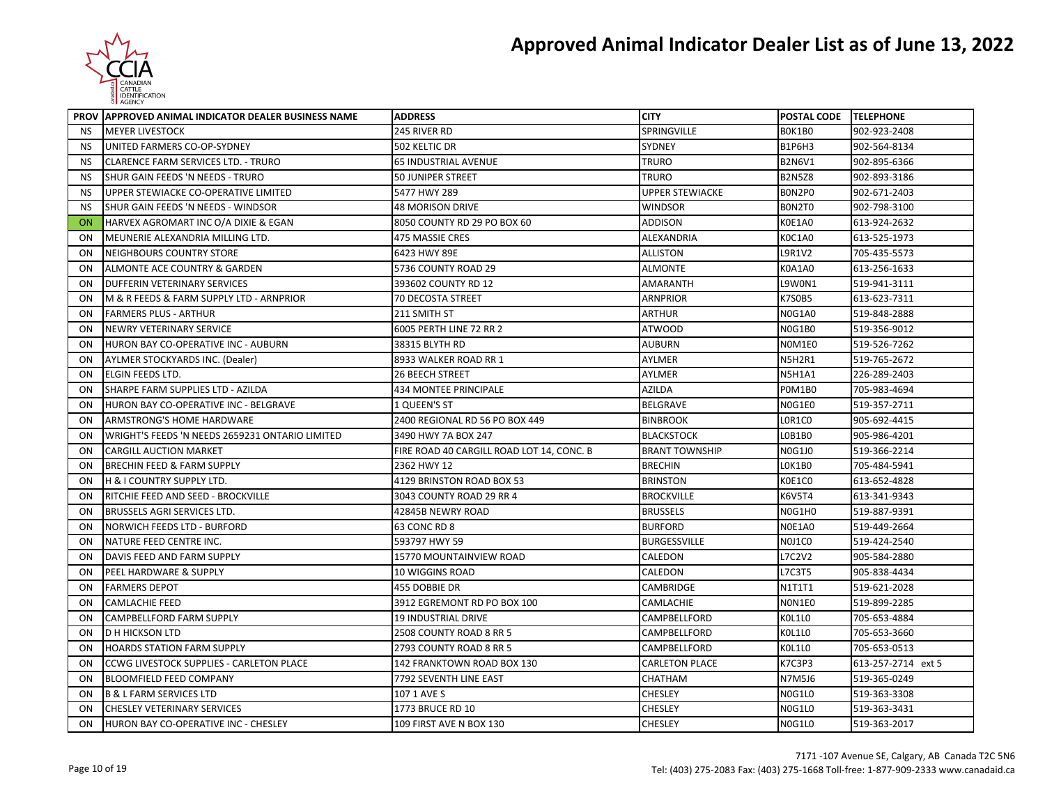

|                | PROV APPROVED ANIMAL INDICATOR DEALER BUSINESS NAME | <b>ADDRESS</b>                            | <b>CITY</b>            | POSTAL CODE TELEPHONE |                    |
|----------------|-----------------------------------------------------|-------------------------------------------|------------------------|-----------------------|--------------------|
| NS.            | <b>MEYER LIVESTOCK</b>                              | 245 RIVER RD                              | SPRINGVILLE            | BOK1BO                | 902-923-2408       |
| <b>NS</b>      | UNITED FARMERS CO-OP-SYDNEY                         | 502 KELTIC DR                             | SYDNEY                 | <b>B1P6H3</b>         | 902-564-8134       |
| <b>NS</b>      | <b>CLARENCE FARM SERVICES LTD. - TRURO</b>          | 65 INDUSTRIAL AVENUE                      | TRURO                  | <b>B2N6V1</b>         | 902-895-6366       |
| <b>NS</b>      | SHUR GAIN FEEDS 'N NEEDS - TRURO                    | 50 JUNIPER STREET                         | TRURO                  | <b>B2N5Z8</b>         | 902-893-3186       |
| <b>NS</b>      | UPPER STEWIACKE CO-OPERATIVE LIMITED                | 5477 HWY 289                              | <b>UPPER STEWIACKE</b> | BON2PO                | 902-671-2403       |
| <b>NS</b>      | SHUR GAIN FEEDS 'N NEEDS - WINDSOR                  | <b>48 MORISON DRIVE</b>                   | WINDSOR                | BON2TO                | 902-798-3100       |
| <b>ON</b>      | HARVEX AGROMART INC O/A DIXIE & EGAN                | 8050 COUNTY RD 29 PO BOX 60               | <b>ADDISON</b>         | <b>K0E1A0</b>         | 613-924-2632       |
| ON             | MEUNERIE ALEXANDRIA MILLING LTD.                    | <b>475 MASSIE CRES</b>                    | ALEXANDRIA             | K0C1A0                | 613-525-1973       |
| ON             | NEIGHBOURS COUNTRY STORE                            | 6423 HWY 89E                              | ALLISTON               | L9R1V2                | 705-435-5573       |
| ON             | ALMONTE ACE COUNTRY & GARDEN                        | 5736 COUNTY ROAD 29                       | ALMONTE                | K0A1A0                | 613-256-1633       |
| ON             | DUFFERIN VETERINARY SERVICES                        | 393602 COUNTY RD 12                       | AMARANTH               | L9W0N1                | 519-941-3111       |
| ON             | M & R FEEDS & FARM SUPPLY LTD - ARNPRIOR            | 70 DECOSTA STREET                         | <b>ARNPRIOR</b>        | <b>K7S0B5</b>         | 613-623-7311       |
| ON             | <b>FARMERS PLUS - ARTHUR</b>                        | 211 SMITH ST                              | <b>ARTHUR</b>          | N0G1A0                | 519-848-2888       |
| ON             | NEWRY VETERINARY SERVICE                            | 6005 PERTH LINE 72 RR 2                   | <b>ATWOOD</b>          | <b>N0G1B0</b>         | 519-356-9012       |
| ON             | HURON BAY CO-OPERATIVE INC - AUBURN                 | 38315 BLYTH RD                            | AUBURN                 | NOM1E0                | 519-526-7262       |
| 0 <sub>N</sub> | AYLMER STOCKYARDS INC. (Dealer)                     | 8933 WALKER ROAD RR 1                     | AYLMER                 | N5H2R1                | 519-765-2672       |
| ON             | <b>ELGIN FEEDS LTD.</b>                             | <b>26 BEECH STREET</b>                    | AYLMER                 | <b>N5H1A1</b>         | 226-289-2403       |
| 0 <sub>N</sub> | SHARPE FARM SUPPLIES LTD - AZILDA                   | 434 MONTEE PRINCIPALE                     | <b>AZILDA</b>          | <b>POM1B0</b>         | 705-983-4694       |
| ON             | HURON BAY CO-OPERATIVE INC - BELGRAVE               | 1 QUEEN'S ST                              | BELGRAVE               | N0G1E0                | 519-357-2711       |
| ON             | ARMSTRONG'S HOME HARDWARE                           | 2400 REGIONAL RD 56 PO BOX 449            | <b>BINBROOK</b>        | LOR1CO                | 905-692-4415       |
| 0 <sub>N</sub> | WRIGHT'S FEEDS 'N NEEDS 2659231 ONTARIO LIMITED     | 3490 HWY 7A BOX 247                       | <b>BLACKSTOCK</b>      | LOB1BO                | 905-986-4201       |
| ON             | <b>CARGILL AUCTION MARKET</b>                       | FIRE ROAD 40 CARGILL ROAD LOT 14, CONC. B | <b>BRANT TOWNSHIP</b>  | N0G1J0                | 519-366-2214       |
| 0 <sub>N</sub> | <b>BRECHIN FEED &amp; FARM SUPPLY</b>               | 2362 HWY 12                               | <b>BRECHIN</b>         | LOK1BO                | 705-484-5941       |
| ON             | H & I COUNTRY SUPPLY LTD.                           | 4129 BRINSTON ROAD BOX 53                 | <b>BRINSTON</b>        | K0E1C0                | 613-652-4828       |
| ON             | RITCHIE FEED AND SEED - BROCKVILLE                  | 3043 COUNTY ROAD 29 RR 4                  | <b>BROCKVILLE</b>      | K6V5T4                | 613-341-9343       |
| 0 <sub>N</sub> | <b>BRUSSELS AGRI SERVICES LTD.</b>                  | 42845B NEWRY ROAD                         | <b>BRUSSELS</b>        | N0G1H0                | 519-887-9391       |
| ON             | <b>NORWICH FEEDS LTD - BURFORD</b>                  | 63 CONC RD 8                              | <b>BURFORD</b>         | NOE1A0                | 519-449-2664       |
| ON             | NATURE FEED CENTRE INC.                             | 593797 HWY 59                             | BURGESSVILLE           | NOJ1CO                | 519-424-2540       |
| ON             | DAVIS FEED AND FARM SUPPLY                          | 15770 MOUNTAINVIEW ROAD                   | CALEDON                | L7C2V2                | 905-584-2880       |
| ON             | PEEL HARDWARE & SUPPLY                              | 10 WIGGINS ROAD                           | CALEDON                | L7C3T5                | 905-838-4434       |
| ON             | <b>FARMERS DEPOT</b>                                | 455 DOBBIE DR                             | CAMBRIDGE              | N1T1T1                | 519-621-2028       |
| ON             | <b>CAMLACHIE FEED</b>                               | 3912 EGREMONT RD PO BOX 100               | CAMLACHIE              | NON1EO                | 519-899-2285       |
| ON             | CAMPBELLFORD FARM SUPPLY                            | 19 INDUSTRIAL DRIVE                       | CAMPBELLFORD           | KOL1LO                | 705-653-4884       |
| ON             | <b>D H HICKSON LTD</b>                              | 2508 COUNTY ROAD 8 RR 5                   | CAMPBELLFORD           | KOL1LO                | 705-653-3660       |
| 0 <sub>N</sub> | <b>HOARDS STATION FARM SUPPLY</b>                   | 2793 COUNTY ROAD 8 RR 5                   | CAMPBELLFORD           | KOL1LO                | 705-653-0513       |
| 0 <sub>N</sub> | <b>CCWG LIVESTOCK SUPPLIES - CARLETON PLACE</b>     | 142 FRANKTOWN ROAD BOX 130                | <b>CARLETON PLACE</b>  | K7C3P3                | 613-257-2714 ext 5 |
| ON             | <b>BLOOMFIELD FEED COMPANY</b>                      | 7792 SEVENTH LINE EAST                    | CHATHAM                | <b>N7M5J6</b>         | 519-365-0249       |
| ON             | <b>B &amp; L FARM SERVICES LTD</b>                  | 107 1 AVE S                               | CHESLEY                | N0G1L0                | 519-363-3308       |
| ON             | <b>CHESLEY VETERINARY SERVICES</b>                  | 1773 BRUCE RD 10                          | <b>CHESLEY</b>         | N0G1L0                | 519-363-3431       |
| ON             | HURON BAY CO-OPERATIVE INC - CHESLEY                | 109 FIRST AVE N BOX 130                   | <b>CHESLEY</b>         | N0G1L0                | 519-363-2017       |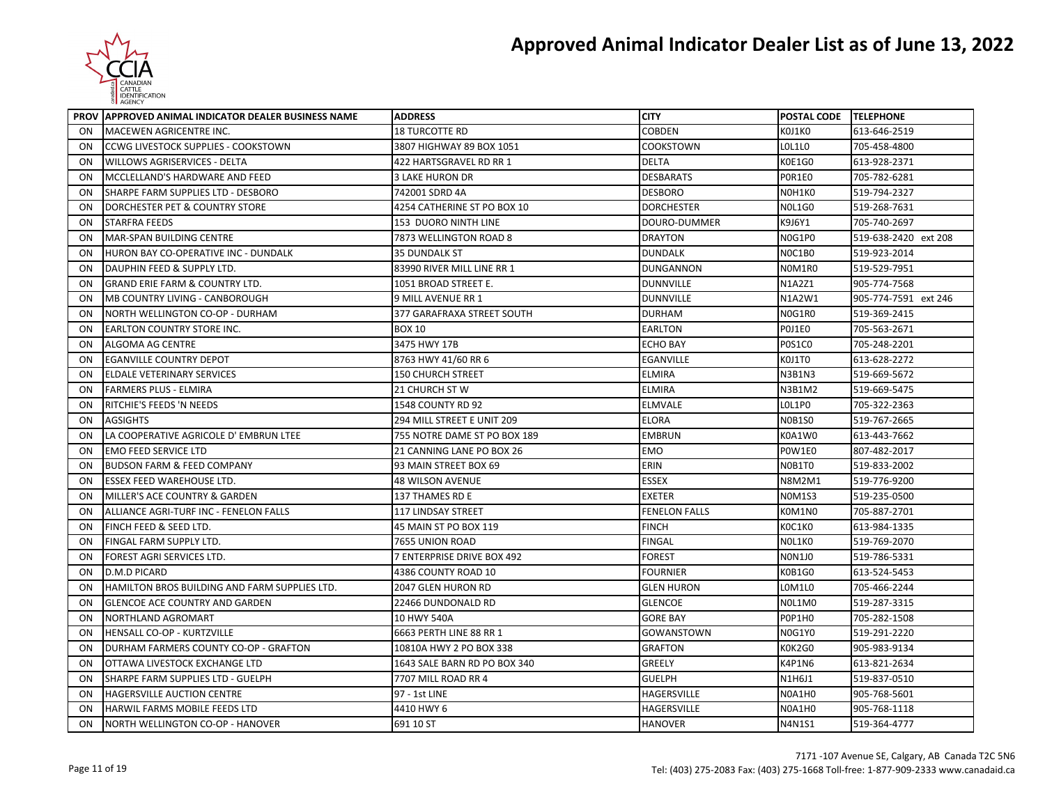

|    | PROV APPROVED ANIMAL INDICATOR DEALER BUSINESS NAME | <b>ADDRESS</b>               | <b>CITY</b>          | POSTAL CODE TELEPHONE |                      |
|----|-----------------------------------------------------|------------------------------|----------------------|-----------------------|----------------------|
| ON | MACEWEN AGRICENTRE INC.                             | <b>18 TURCOTTE RD</b>        | <b>COBDEN</b>        | KOJ1KO                | 613-646-2519         |
| ON | CCWG LIVESTOCK SUPPLIES - COOKSTOWN                 | 3807 HIGHWAY 89 BOX 1051     | <b>COOKSTOWN</b>     | LOL1LO                | 705-458-4800         |
| ON | WILLOWS AGRISERVICES - DELTA                        | 422 HARTSGRAVEL RD RR 1      | <b>DELTA</b>         | K0E1G0                | 613-928-2371         |
| ON | MCCLELLAND'S HARDWARE AND FEED                      | 3 LAKE HURON DR              | <b>DESBARATS</b>     | POR1EO                | 705-782-6281         |
| ON | SHARPE FARM SUPPLIES LTD - DESBORO                  | 742001 SDRD 4A               | <b>DESBORO</b>       | NOH1KO                | 519-794-2327         |
| ON | DORCHESTER PET & COUNTRY STORE                      | 4254 CATHERINE ST PO BOX 10  | <b>DORCHESTER</b>    | <b>NOL1G0</b>         | 519-268-7631         |
| ON | STARFRA FEEDS                                       | <b>153 DUORO NINTH LINE</b>  | DOURO-DUMMER         | K9J6Y1                | 705-740-2697         |
| ON | <b>MAR-SPAN BUILDING CENTRE</b>                     | 7873 WELLINGTON ROAD 8       | <b>DRAYTON</b>       | N0G1P0                | 519-638-2420 ext 208 |
| ON | HURON BAY CO-OPERATIVE INC - DUNDALK                | <b>35 DUNDALK ST</b>         | <b>DUNDALK</b>       | NOC1BO                | 519-923-2014         |
| ON | DAUPHIN FEED & SUPPLY LTD.                          | 83990 RIVER MILL LINE RR 1   | <b>DUNGANNON</b>     | NOM1RO                | 519-529-7951         |
| ON | <b>GRAND ERIE FARM &amp; COUNTRY LTD.</b>           | 1051 BROAD STREET E.         | <b>DUNNVILLE</b>     | N1A2Z1                | 905-774-7568         |
| ON | MB COUNTRY LIVING - CANBOROUGH                      | 9 MILL AVENUE RR 1           | <b>DUNNVILLE</b>     | N1A2W1                | 905-774-7591 ext 246 |
| ON | NORTH WELLINGTON CO-OP - DURHAM                     | 377 GARAFRAXA STREET SOUTH   | <b>DURHAM</b>        | N0G1R0                | 519-369-2415         |
| ON | <b>EARLTON COUNTRY STORE INC.</b>                   | <b>BOX 10</b>                | <b>EARLTON</b>       | POJ1EO                | 705-563-2671         |
| ON | ALGOMA AG CENTRE                                    | 3475 HWY 17B                 | <b>ECHO BAY</b>      | P0S1C0                | 705-248-2201         |
| ON | <b>EGANVILLE COUNTRY DEPOT</b>                      | 8763 HWY 41/60 RR 6          | <b>EGANVILLE</b>     | KOJ1TO                | 613-628-2272         |
| ON | <b>ELDALE VETERINARY SERVICES</b>                   | <b>150 CHURCH STREET</b>     | <b>ELMIRA</b>        | <b>N3B1N3</b>         | 519-669-5672         |
| ON | FARMERS PLUS - ELMIRA                               | 21 CHURCH ST W               | <b>ELMIRA</b>        | N3B1M2                | 519-669-5475         |
| ON | RITCHIE'S FEEDS 'N NEEDS                            | 1548 COUNTY RD 92            | <b>ELMVALE</b>       | LOL1PO                | 705-322-2363         |
| ON | <b>AGSIGHTS</b>                                     | 294 MILL STREET E UNIT 209   | <b>ELORA</b>         | <b>N0B1S0</b>         | 519-767-2665         |
| ON | LA COOPERATIVE AGRICOLE D'EMBRUN LTEE               | 755 NOTRE DAME ST PO BOX 189 | <b>EMBRUN</b>        | K0A1W0                | 613-443-7662         |
| ON | <b>EMO FEED SERVICE LTD</b>                         | 21 CANNING LANE PO BOX 26    | <b>EMO</b>           | POW1E0                | 807-482-2017         |
| ON | <b>BUDSON FARM &amp; FEED COMPANY</b>               | 93 MAIN STREET BOX 69        | ERIN                 | N0B1T0                | 519-833-2002         |
| ON | <b>ESSEX FEED WAREHOUSE LTD.</b>                    | <b>48 WILSON AVENUE</b>      | <b>ESSEX</b>         | N8M2M1                | 519-776-9200         |
| ON | MILLER'S ACE COUNTRY & GARDEN                       | 137 THAMES RD E              | <b>EXETER</b>        | <b>NOM1S3</b>         | 519-235-0500         |
| ON | ALLIANCE AGRI-TURF INC - FENELON FALLS              | 117 LINDSAY STREET           | <b>FENELON FALLS</b> | KOM1NO                | 705-887-2701         |
| ON | FINCH FEED & SEED LTD.                              | 45 MAIN ST PO BOX 119        | <b>FINCH</b>         | KOC1KO                | 613-984-1335         |
| ON | FINGAL FARM SUPPLY LTD.                             | 7655 UNION ROAD              | <b>FINGAL</b>        | NOL1KO                | 519-769-2070         |
| ON | FOREST AGRI SERVICES LTD.                           | 7 ENTERPRISE DRIVE BOX 492   | <b>FOREST</b>        | <b>NON1JO</b>         | 519-786-5331         |
| ON | D.M.D PICARD                                        | 4386 COUNTY ROAD 10          | <b>FOURNIER</b>      | K0B1G0                | 613-524-5453         |
| ON | HAMILTON BROS BUILDING AND FARM SUPPLIES LTD.       | 2047 GLEN HURON RD           | <b>GLEN HURON</b>    | LOM1LO                | 705-466-2244         |
| ON | <b>GLENCOE ACE COUNTRY AND GARDEN</b>               | 22466 DUNDONALD RD           | <b>GLENCOE</b>       | NOL1M0                | 519-287-3315         |
| ON | NORTHLAND AGROMART                                  | 10 HWY 540A                  | <b>GORE BAY</b>      | POP1H0                | 705-282-1508         |
| ON | HENSALL CO-OP - KURTZVILLE                          | 6663 PERTH LINE 88 RR 1      | <b>GOWANSTOWN</b>    | N0G1Y0                | 519-291-2220         |
| ON | DURHAM FARMERS COUNTY CO-OP - GRAFTON               | 10810A HWY 2 PO BOX 338      | <b>GRAFTON</b>       | K0K2G0                | 905-983-9134         |
| ON | OTTAWA LIVESTOCK EXCHANGE LTD                       | 1643 SALE BARN RD PO BOX 340 | <b>GREELY</b>        | <b>K4P1N6</b>         | 613-821-2634         |
| ON | SHARPE FARM SUPPLIES LTD - GUELPH                   | 7707 MILL ROAD RR 4          | <b>GUELPH</b>        | N1H6J1                | 519-837-0510         |
| ON | HAGERSVILLE AUCTION CENTRE                          | 97 - 1st LINE                | HAGERSVILLE          | N0A1H0                | 905-768-5601         |
| ON | HARWIL FARMS MOBILE FEEDS LTD                       | 4410 HWY 6                   | <b>HAGERSVILLE</b>   | N0A1H0                | 905-768-1118         |
| ON | NORTH WELLINGTON CO-OP - HANOVER                    | 691 10 ST                    | <b>HANOVER</b>       | N4N1S1                | 519-364-4777         |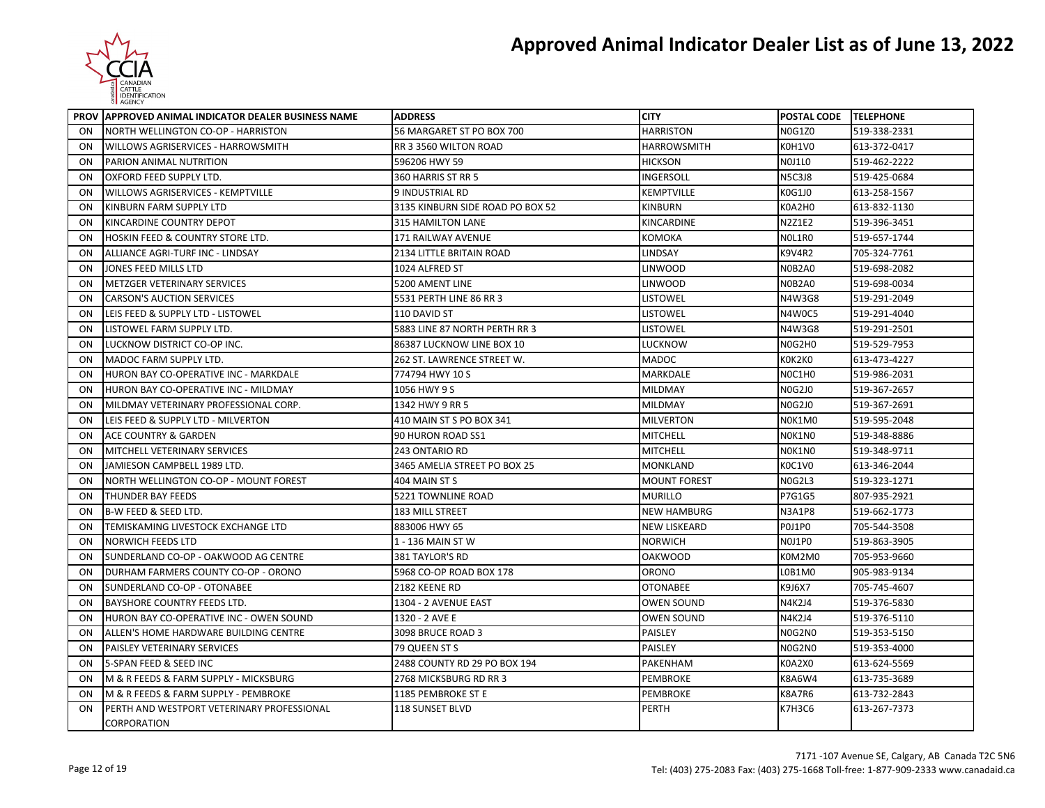

|           | PROV APPROVED ANIMAL INDICATOR DEALER BUSINESS NAME | <b>ADDRESS</b>                   | <b>CITY</b>         | POSTAL CODE TELEPHONE |              |
|-----------|-----------------------------------------------------|----------------------------------|---------------------|-----------------------|--------------|
| ON        | NORTH WELLINGTON CO-OP - HARRISTON                  | 56 MARGARET ST PO BOX 700        | <b>HARRISTON</b>    | <b>N0G1Z0</b>         | 519-338-2331 |
| ON        | WILLOWS AGRISERVICES - HARROWSMITH                  | RR 3 3560 WILTON ROAD            | <b>HARROWSMITH</b>  | K0H1V0                | 613-372-0417 |
| ON        | PARION ANIMAL NUTRITION                             | 596206 HWY 59                    | <b>HICKSON</b>      | NOJ1LO                | 519-462-2222 |
| ON        | OXFORD FEED SUPPLY LTD.                             | 360 HARRIS ST RR 5               | INGERSOLL           | <b>N5C3J8</b>         | 519-425-0684 |
| ON        | WILLOWS AGRISERVICES - KEMPTVILLE                   | 9 INDUSTRIAL RD                  | KEMPTVILLE          | K0G1J0                | 613-258-1567 |
| ON        | KINBURN FARM SUPPLY LTD                             | 3135 KINBURN SIDE ROAD PO BOX 52 | <b>KINBURN</b>      | K0A2H0                | 613-832-1130 |
| ON        | KINCARDINE COUNTRY DEPOT                            | 315 HAMILTON LANE                | KINCARDINE          | N2Z1E2                | 519-396-3451 |
| ON        | HOSKIN FEED & COUNTRY STORE LTD.                    | <b>171 RAILWAY AVENUE</b>        | KOMOKA              | NOL1RO                | 519-657-1744 |
| ON        | ALLIANCE AGRI-TURF INC - LINDSAY                    | <b>2134 LITTLE BRITAIN ROAD</b>  | LINDSAY             | <b>K9V4R2</b>         | 705-324-7761 |
| ON        | JONES FEED MILLS LTD                                | 1024 ALFRED ST                   | LINWOOD             | N0B2A0                | 519-698-2082 |
| ON        | METZGER VETERINARY SERVICES                         | 5200 AMENT LINE                  | <b>LINWOOD</b>      | N0B2A0                | 519-698-0034 |
| ON        | <b>CARSON'S AUCTION SERVICES</b>                    | 5531 PERTH LINE 86 RR 3          | LISTOWEL            | N4W3G8                | 519-291-2049 |
| ON        | LEIS FEED & SUPPLY LTD - LISTOWEL                   | 110 DAVID ST                     | <b>LISTOWEL</b>     | N4W0C5                | 519-291-4040 |
| ON        | LISTOWEL FARM SUPPLY LTD.                           | 5883 LINE 87 NORTH PERTH RR 3    | <b>LISTOWEL</b>     | N4W3G8                | 519-291-2501 |
| ON        | LUCKNOW DISTRICT CO-OP INC.                         | 86387 LUCKNOW LINE BOX 10        | LUCKNOW             | N0G2H0                | 519-529-7953 |
| ON        | MADOC FARM SUPPLY LTD.                              | 262 ST. LAWRENCE STREET W.       | <b>MADOC</b>        | кок2ко                | 613-473-4227 |
| ON        | HURON BAY CO-OPERATIVE INC - MARKDALE               | 774794 HWY 10 S                  | MARKDALE            | NOC1HO                | 519-986-2031 |
| ON        | HURON BAY CO-OPERATIVE INC - MILDMAY                | 1056 HWY 9 S                     | <b>MILDMAY</b>      | <b>N0G2J0</b>         | 519-367-2657 |
| ON        | MILDMAY VETERINARY PROFESSIONAL CORP.               | 1342 HWY 9 RR 5                  | <b>MILDMAY</b>      | <b>N0G2J0</b>         | 519-367-2691 |
| ON        | LEIS FEED & SUPPLY LTD - MILVERTON                  | 410 MAIN ST S PO BOX 341         | <b>MILVERTON</b>    | NOK1M0                | 519-595-2048 |
| ON        | ACE COUNTRY & GARDEN                                | 90 HURON ROAD SS1                | <b>MITCHELL</b>     | NOK1NO                | 519-348-8886 |
| ON        | MITCHELL VETERINARY SERVICES                        | 243 ONTARIO RD                   | <b>MITCHELL</b>     | NOK1NO                | 519-348-9711 |
| ON        | JAMIESON CAMPBELL 1989 LTD.                         | 3465 AMELIA STREET PO BOX 25     | <b>MONKLAND</b>     | K0C1V0                | 613-346-2044 |
| ON        | NORTH WELLINGTON CO-OP - MOUNT FOREST               | 404 MAIN ST S                    | <b>MOUNT FOREST</b> | NOG2L3                | 519-323-1271 |
| ON        | <b>THUNDER BAY FEEDS</b>                            | 5221 TOWNLINE ROAD               | <b>MURILLO</b>      | P7G1G5                | 807-935-2921 |
| ON        | <b>B-W FEED &amp; SEED LTD.</b>                     | 183 MILL STREET                  | <b>NEW HAMBURG</b>  | <b>N3A1P8</b>         | 519-662-1773 |
| ON        | TEMISKAMING LIVESTOCK EXCHANGE LTD                  | 883006 HWY 65                    | <b>NEW LISKEARD</b> | POJ1PO                | 705-544-3508 |
| ON        | <b>NORWICH FEEDS LTD</b>                            | 1 - 136 MAIN ST W                | <b>NORWICH</b>      | NOJ1PO                | 519-863-3905 |
| ON        | SUNDERLAND CO-OP - OAKWOOD AG CENTRE                | 381 TAYLOR'S RD                  | <b>OAKWOOD</b>      | K0M2M0                | 705-953-9660 |
| ON        | DURHAM FARMERS COUNTY CO-OP - ORONO                 | 5968 CO-OP ROAD BOX 178          | ORONO               | L0B1M0                | 905-983-9134 |
| ON        | SUNDERLAND CO-OP - OTONABEE                         | 2182 KEENE RD                    | <b>OTONABEE</b>     | K9J6X7                | 705-745-4607 |
| ON        | BAYSHORE COUNTRY FEEDS LTD.                         | 1304 - 2 AVENUE EAST             | <b>OWEN SOUND</b>   | N4K2J4                | 519-376-5830 |
| ON        | HURON BAY CO-OPERATIVE INC - OWEN SOUND             | 1320 - 2 AVE E                   | <b>OWEN SOUND</b>   | N4K2J4                | 519-376-5110 |
| ON        | ALLEN'S HOME HARDWARE BUILDING CENTRE               | 3098 BRUCE ROAD 3                | PAISLEY             | N0G2N0                | 519-353-5150 |
| ON        | PAISLEY VETERINARY SERVICES                         | 79 QUEEN ST S                    | PAISLEY             | N0G2N0                | 519-353-4000 |
| ON        | 5-SPAN FEED & SEED INC                              | 2488 COUNTY RD 29 PO BOX 194     | PAKENHAM            | K0A2X0                | 613-624-5569 |
| ON        | M & R FEEDS & FARM SUPPLY - MICKSBURG               | 2768 MICKSBURG RD RR 3           | <b>PEMBROKE</b>     | K8A6W4                | 613-735-3689 |
| <b>ON</b> | M & R FEEDS & FARM SUPPLY - PEMBROKE                | 1185 PEMBROKE ST E               | PEMBROKE            | K8A7R6                | 613-732-2843 |
| ON        | PERTH AND WESTPORT VETERINARY PROFESSIONAL          | <b>118 SUNSET BLVD</b>           | <b>PERTH</b>        | <b>K7H3C6</b>         | 613-267-7373 |
|           | CORPORATION                                         |                                  |                     |                       |              |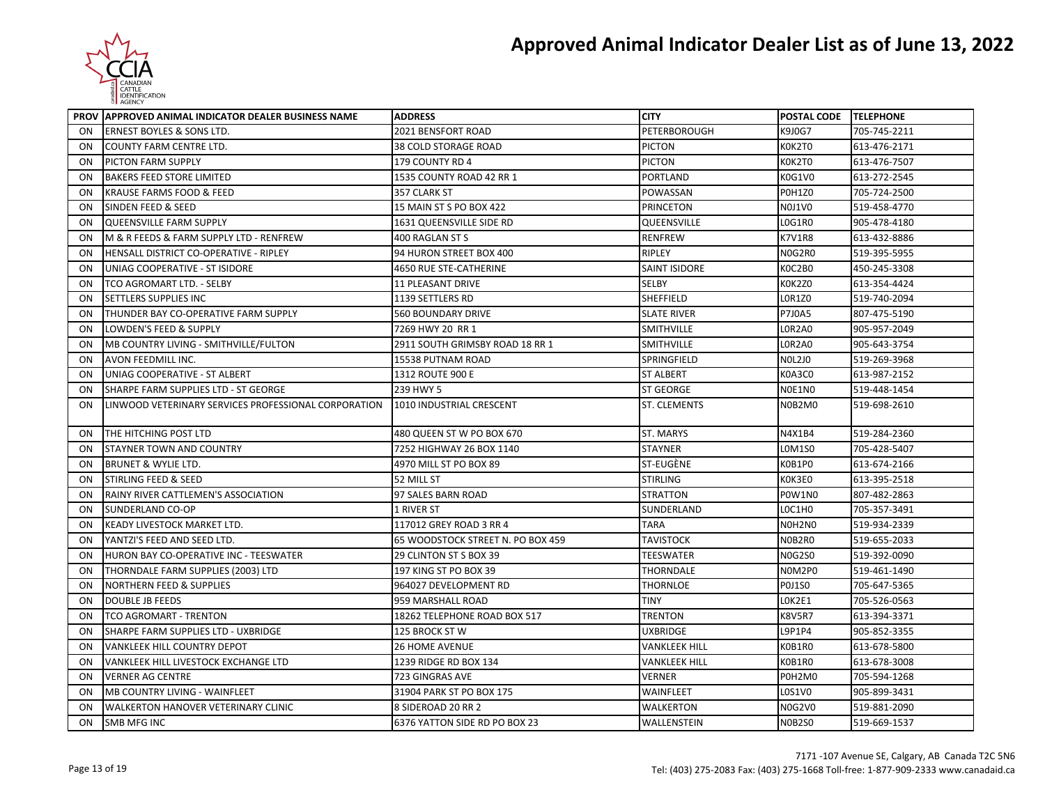

|                | PROV APPROVED ANIMAL INDICATOR DEALER BUSINESS NAME  | <b>ADDRESS</b>                    | <b>CITY</b>          | <b>POSTAL CODE TELEPHONE</b> |              |
|----------------|------------------------------------------------------|-----------------------------------|----------------------|------------------------------|--------------|
| 0 <sub>N</sub> | <b>ERNEST BOYLES &amp; SONS LTD.</b>                 | 2021 BENSFORT ROAD                | PETERBOROUGH         | K9J0G7                       | 705-745-2211 |
| ON             | COUNTY FARM CENTRE LTD.                              | 38 COLD STORAGE ROAD              | <b>PICTON</b>        | K0K2T0                       | 613-476-2171 |
| ON             | PICTON FARM SUPPLY                                   | 179 COUNTY RD 4                   | <b>PICTON</b>        | KOK2TO                       | 613-476-7507 |
| ON             | <b>BAKERS FEED STORE LIMITED</b>                     | 1535 COUNTY ROAD 42 RR 1          | PORTLAND             | K0G1V0                       | 613-272-2545 |
| ON             | KRAUSE FARMS FOOD & FEED                             | 357 CLARK ST                      | POWASSAN             | <b>POH1ZO</b>                | 705-724-2500 |
| ON             | SINDEN FEED & SEED                                   | 15 MAIN ST S PO BOX 422           | <b>PRINCETON</b>     | <b>NOJ1VO</b>                | 519-458-4770 |
| ON             | <b>QUEENSVILLE FARM SUPPLY</b>                       | 1631 QUEENSVILLE SIDE RD          | QUEENSVILLE          | LOG1R0                       | 905-478-4180 |
| ON             | M & R FEEDS & FARM SUPPLY LTD - RENFREW              | 400 RAGLAN ST S                   | <b>RENFREW</b>       | <b>K7V1R8</b>                | 613-432-8886 |
| ON             | HENSALL DISTRICT CO-OPERATIVE - RIPLEY               | 94 HURON STREET BOX 400           | RIPLEY               | N0G2R0                       | 519-395-5955 |
| ON             | UNIAG COOPERATIVE - ST ISIDORE                       | 4650 RUE STE-CATHERINE            | <b>SAINT ISIDORE</b> | KOC2BO                       | 450-245-3308 |
| ON             | TCO AGROMART LTD. - SELBY                            | 11 PLEASANT DRIVE                 | SELBY                | KOK2ZO                       | 613-354-4424 |
| ON             | SETTLERS SUPPLIES INC                                | 1139 SETTLERS RD                  | SHEFFIELD            | <b>LOR1Z0</b>                | 519-740-2094 |
| ON             | THUNDER BAY CO-OPERATIVE FARM SUPPLY                 | <b>560 BOUNDARY DRIVE</b>         | <b>SLATE RIVER</b>   | <b>P7J0A5</b>                | 807-475-5190 |
| ON             | LOWDEN'S FEED & SUPPLY                               | 7269 HWY 20 RR 1                  | SMITHVILLE           | LOR2A0                       | 905-957-2049 |
| ON             | MB COUNTRY LIVING - SMITHVILLE/FULTON                | 2911 SOUTH GRIMSBY ROAD 18 RR 1   | SMITHVILLE           | LOR2A0                       | 905-643-3754 |
| ON             | AVON FEEDMILL INC.                                   | 15538 PUTNAM ROAD                 | SPRINGFIELD          | <b>NOL2JO</b>                | 519-269-3968 |
| ON             | UNIAG COOPERATIVE - ST ALBERT                        | 1312 ROUTE 900 E                  | <b>ST ALBERT</b>     | K0A3C0                       | 613-987-2152 |
| ON             | SHARPE FARM SUPPLIES LTD - ST GEORGE                 | 239 HWY 5                         | <b>ST GEORGE</b>     | NOE1NO                       | 519-448-1454 |
| ON             | LINWOOD VETERINARY SERVICES PROFESSIONAL CORPORATION | 1010 INDUSTRIAL CRESCENT          | <b>ST. CLEMENTS</b>  | N0B2M0                       | 519-698-2610 |
| ON             | THE HITCHING POST LTD                                | 480 QUEEN ST W PO BOX 670         | <b>ST. MARYS</b>     | N4X1B4                       | 519-284-2360 |
| ON             | STAYNER TOWN AND COUNTRY                             | 7252 HIGHWAY 26 BOX 1140          | <b>STAYNER</b>       | L0M1S0                       | 705-428-5407 |
| ON             | BRUNET & WYLIE LTD.                                  | 4970 MILL ST PO BOX 89            | ST-EUGÈNE            | K0B1P0                       | 613-674-2166 |
| ON             | <b>STIRLING FEED &amp; SEED</b>                      | 52 MILL ST                        | <b>STIRLING</b>      | KOK3EO                       | 613-395-2518 |
| ON             | RAINY RIVER CATTLEMEN'S ASSOCIATION                  | 97 SALES BARN ROAD                | <b>STRATTON</b>      | <b>POW1NO</b>                | 807-482-2863 |
| ON             | SUNDERLAND CO-OP                                     | 1 RIVER ST                        | SUNDERLAND           | LOC1HO                       | 705-357-3491 |
| ON             | KEADY LIVESTOCK MARKET LTD.                          | 117012 GREY ROAD 3 RR 4           | <b>TARA</b>          | N0H2N0                       | 519-934-2339 |
| ON             | YANTZI'S FEED AND SEED LTD.                          | 65 WOODSTOCK STREET N. PO BOX 459 | <b>TAVISTOCK</b>     | N0B2R0                       | 519-655-2033 |
| ON             | HURON BAY CO-OPERATIVE INC - TEESWATER               | 29 CLINTON ST S BOX 39            | <b>TEESWATER</b>     | <b>N0G2S0</b>                | 519-392-0090 |
| ON             | THORNDALE FARM SUPPLIES (2003) LTD                   | 197 KING ST PO BOX 39             | THORNDALE            | NOM2P0                       | 519-461-1490 |
| ON             | <b>NORTHERN FEED &amp; SUPPLIES</b>                  | 964027 DEVELOPMENT RD             | THORNLOE             | <b>P0J1S0</b>                | 705-647-5365 |
| ON             | <b>DOUBLE JB FEEDS</b>                               | 959 MARSHALL ROAD                 | TINY                 | LOK2E1                       | 705-526-0563 |
| ON             | <b>TCO AGROMART - TRENTON</b>                        | 18262 TELEPHONE ROAD BOX 517      | <b>TRENTON</b>       | <b>K8V5R7</b>                | 613-394-3371 |
| ON             | SHARPE FARM SUPPLIES LTD - UXBRIDGE                  | 125 BROCK ST W                    | <b>UXBRIDGE</b>      | L9P1P4                       | 905-852-3355 |
| ON             | VANKLEEK HILL COUNTRY DEPOT                          | <b>26 HOME AVENUE</b>             | <b>VANKLEEK HILL</b> | K0B1R0                       | 613-678-5800 |
| ON             | VANKLEEK HILL LIVESTOCK EXCHANGE LTD                 | 1239 RIDGE RD BOX 134             | <b>VANKLEEK HILL</b> | K0B1R0                       | 613-678-3008 |
| ON             | <b>VERNER AG CENTRE</b>                              | 723 GINGRAS AVE                   | <b>VERNER</b>        | P0H2M0                       | 705-594-1268 |
| ON             | MB COUNTRY LIVING - WAINFLEET                        | 31904 PARK ST PO BOX 175          | WAINFLEET            | L0S1V0                       | 905-899-3431 |
| ON             | WALKERTON HANOVER VETERINARY CLINIC                  | 8 SIDEROAD 20 RR 2                | WALKERTON            | N0G2V0                       | 519-881-2090 |
| ON             | <b>SMB MFG INC</b>                                   | 6376 YATTON SIDE RD PO BOX 23     | WALLENSTEIN          | <b>N0B2S0</b>                | 519-669-1537 |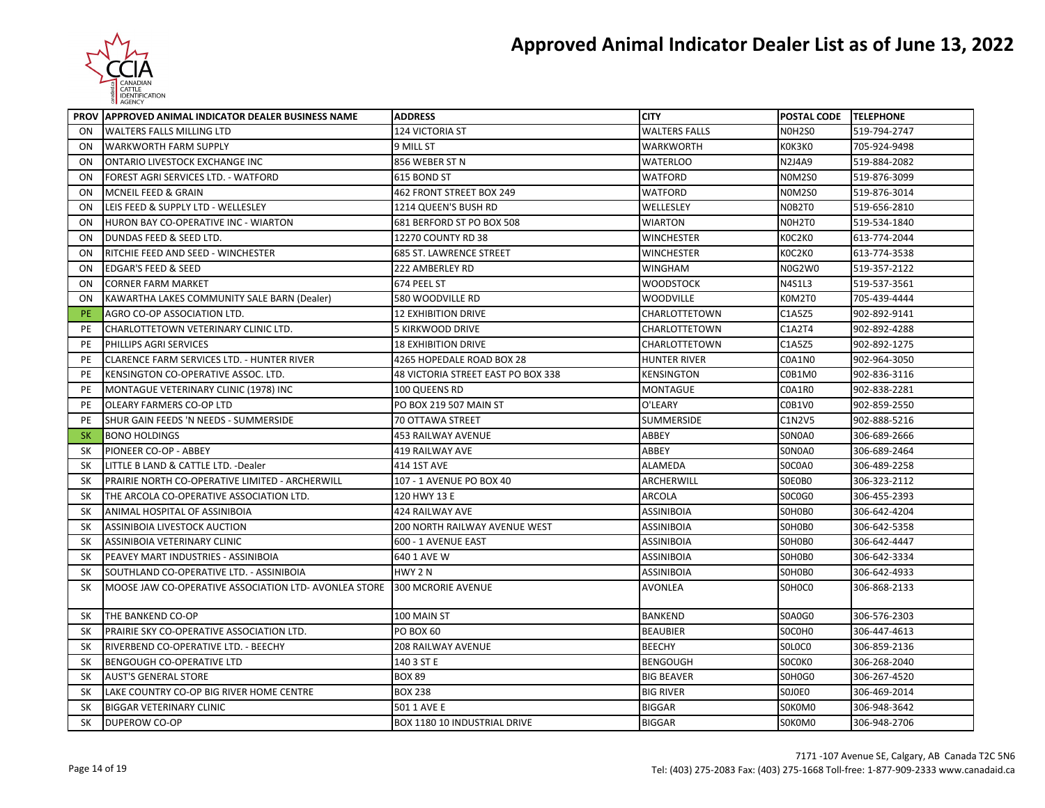

|                | PROV APPROVED ANIMAL INDICATOR DEALER BUSINESS NAME   | <b>ADDRESS</b>                     | <b>CITY</b>          | POSTAL CODE TELEPHONE |              |
|----------------|-------------------------------------------------------|------------------------------------|----------------------|-----------------------|--------------|
| <b>ON</b>      | <b>WALTERS FALLS MILLING LTD</b>                      | 124 VICTORIA ST                    | <b>WALTERS FALLS</b> | NOH <sub>2SO</sub>    | 519-794-2747 |
| ON             | <b>WARKWORTH FARM SUPPLY</b>                          | 9 MILL ST                          | <b>WARKWORTH</b>     | KOK3KO                | 705-924-9498 |
| ON             | ONTARIO LIVESTOCK EXCHANGE INC                        | 856 WEBER ST N                     | <b>WATERLOO</b>      | <b>N2J4A9</b>         | 519-884-2082 |
| 0 <sub>N</sub> | FOREST AGRI SERVICES LTD. - WATFORD                   | 615 BOND ST                        | WATFORD              | N0M2S0                | 519-876-3099 |
| ON             | MCNEIL FEED & GRAIN                                   | 462 FRONT STREET BOX 249           | <b>WATFORD</b>       | <b>NOM2S0</b>         | 519-876-3014 |
| ON             | LEIS FEED & SUPPLY LTD - WELLESLEY                    | 1214 QUEEN'S BUSH RD               | WELLESLEY            | NOB2TO                | 519-656-2810 |
| ON             | HURON BAY CO-OPERATIVE INC - WIARTON                  | 681 BERFORD ST PO BOX 508          | <b>WIARTON</b>       | NOH2TO                | 519-534-1840 |
| ON             | DUNDAS FEED & SEED LTD.                               | 12270 COUNTY RD 38                 | <b>WINCHESTER</b>    | KOC2KO                | 613-774-2044 |
| ON             | RITCHIE FEED AND SEED - WINCHESTER                    | 685 ST. LAWRENCE STREET            | <b>WINCHESTER</b>    | KOC2KO                | 613-774-3538 |
| 0 <sub>N</sub> | EDGAR'S FEED & SEED                                   | 222 AMBERLEY RD                    | WINGHAM              | N0G2W0                | 519-357-2122 |
| 0 <sub>N</sub> | <b>CORNER FARM MARKET</b>                             | 674 PEEL ST                        | <b>WOODSTOCK</b>     | N4S1L3                | 519-537-3561 |
| 0 <sub>N</sub> | KAWARTHA LAKES COMMUNITY SALE BARN (Dealer)           | 580 WOODVILLE RD                   | <b>WOODVILLE</b>     | K0M2T0                | 705-439-4444 |
| <b>PE</b>      | AGRO CO-OP ASSOCIATION LTD.                           | <b>12 EXHIBITION DRIVE</b>         | <b>CHARLOTTETOWN</b> | C1A5Z5                | 902-892-9141 |
| <b>PE</b>      | CHARLOTTETOWN VETERINARY CLINIC LTD.                  | 5 KIRKWOOD DRIVE                   | <b>CHARLOTTETOWN</b> | C1A2T4                | 902-892-4288 |
| <b>PE</b>      | PHILLIPS AGRI SERVICES                                | <b>18 EXHIBITION DRIVE</b>         | CHARLOTTETOWN        | C1A5Z5                | 902-892-1275 |
| PE             | CLARENCE FARM SERVICES LTD. - HUNTER RIVER            | 4265 HOPEDALE ROAD BOX 28          | <b>HUNTER RIVER</b>  | C0A1N0                | 902-964-3050 |
| PE             | KENSINGTON CO-OPERATIVE ASSOC. LTD.                   | 48 VICTORIA STREET EAST PO BOX 338 | <b>KENSINGTON</b>    | C0B1M0                | 902-836-3116 |
| <b>PE</b>      | MONTAGUE VETERINARY CLINIC (1978) INC                 | 100 QUEENS RD                      | <b>MONTAGUE</b>      | C0A1R0                | 902-838-2281 |
| PE             | OLEARY FARMERS CO-OP LTD                              | PO BOX 219 507 MAIN ST             | O'LEARY              | C0B1V0                | 902-859-2550 |
| PE             | SHUR GAIN FEEDS 'N NEEDS - SUMMERSIDE                 | 70 OTTAWA STREET                   | <b>SUMMERSIDE</b>    | C1N2V5                | 902-888-5216 |
| <b>SK</b>      | <b>BONO HOLDINGS</b>                                  | <b>453 RAILWAY AVENUE</b>          | ABBEY                | SONOAO                | 306-689-2666 |
| <b>SK</b>      | PIONEER CO-OP - ABBEY                                 | <b>419 RAILWAY AVE</b>             | ABBEY                | SONOA0                | 306-689-2464 |
| <b>SK</b>      | LITTLE B LAND & CATTLE LTD. -Dealer                   | 414 1ST AVE                        | <b>ALAMEDA</b>       | SOCOAO                | 306-489-2258 |
| <b>SK</b>      | PRAIRIE NORTH CO-OPERATIVE LIMITED - ARCHERWILL       | 107 - 1 AVENUE PO BOX 40           | ARCHERWILL           | SOEOBO                | 306-323-2112 |
| SK             | THE ARCOLA CO-OPERATIVE ASSOCIATION LTD.              | 120 HWY 13 E                       | <b>ARCOLA</b>        | SOCOGO                | 306-455-2393 |
| <b>SK</b>      | ANIMAL HOSPITAL OF ASSINIBOIA                         | <b>424 RAILWAY AVE</b>             | <b>ASSINIBOIA</b>    | SOHOBO                | 306-642-4204 |
| SΚ             | ASSINIBOIA LIVESTOCK AUCTION                          | 200 NORTH RAILWAY AVENUE WEST      | ASSINIBOIA           | SOHOBO                | 306-642-5358 |
| <b>SK</b>      | ASSINIBOIA VETERINARY CLINIC                          | 600 - 1 AVENUE EAST                | ASSINIBOIA           | SOHOBO                | 306-642-4447 |
| <b>SK</b>      | PEAVEY MART INDUSTRIES - ASSINIBOIA                   | 640 1 AVE W                        | <b>ASSINIBOIA</b>    | SOHOBO                | 306-642-3334 |
| <b>SK</b>      | SOUTHLAND CO-OPERATIVE LTD. - ASSINIBOIA              | HWY 2N                             | <b>ASSINIBOIA</b>    | SOHOBO                | 306-642-4933 |
| SK             | MOOSE JAW CO-OPERATIVE ASSOCIATION LTD- AVONLEA STORE | <b>300 MCRORIE AVENUE</b>          | <b>AVONLEA</b>       | SOHOCO                | 306-868-2133 |
| SK             | THE BANKEND CO-OP                                     | 100 MAIN ST                        | <b>BANKEND</b>       | <b>SOA0G0</b>         | 306-576-2303 |
| SΚ             | PRAIRIE SKY CO-OPERATIVE ASSOCIATION LTD.             | <b>PO BOX 60</b>                   | <b>BEAUBIER</b>      | SOCOHO                | 306-447-4613 |
| <b>SK</b>      | RIVERBEND CO-OPERATIVE LTD. - BEECHY                  | 208 RAILWAY AVENUE                 | <b>BEECHY</b>        | SOLOCO                | 306-859-2136 |
| SK             | BENGOUGH CO-OPERATIVE LTD                             | 140 3 ST E                         | <b>BENGOUGH</b>      | SOCOKO                | 306-268-2040 |
| SK             | <b>AUST'S GENERAL STORE</b>                           | <b>BOX 89</b>                      | <b>BIG BEAVER</b>    | S0H0G0                | 306-267-4520 |
| <b>SK</b>      | LAKE COUNTRY CO-OP BIG RIVER HOME CENTRE              | <b>BOX 238</b>                     | <b>BIG RIVER</b>     | SOJOEO                | 306-469-2014 |
| <b>SK</b>      | <b>BIGGAR VETERINARY CLINIC</b>                       | 501 1 AVE E                        | <b>BIGGAR</b>        | SOKOMO                | 306-948-3642 |
| SK             | <b>DUPEROW CO-OP</b>                                  | BOX 1180 10 INDUSTRIAL DRIVE       | <b>BIGGAR</b>        | S0K0M0                | 306-948-2706 |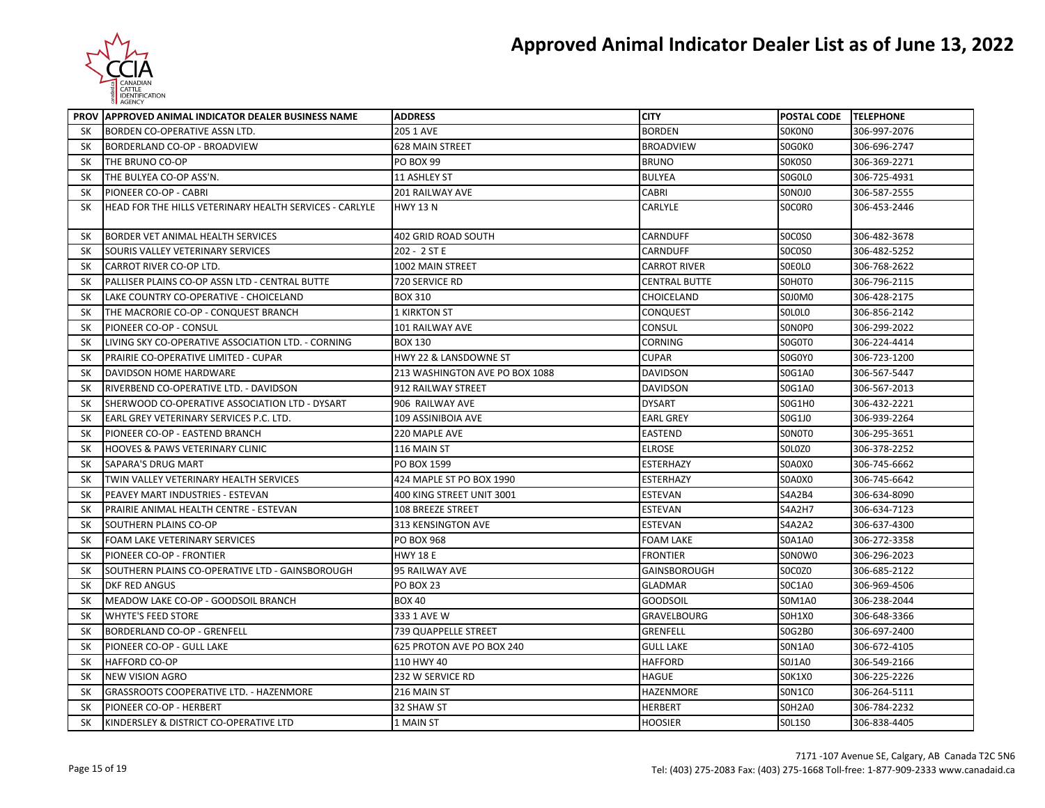

|           | PROV APPROVED ANIMAL INDICATOR DEALER BUSINESS NAME     | <b>ADDRESS</b>                 | <b>CITY</b>          | <b>POSTAL CODE TELEPHONE</b> |              |
|-----------|---------------------------------------------------------|--------------------------------|----------------------|------------------------------|--------------|
| <b>SK</b> | BORDEN CO-OPERATIVE ASSN LTD.                           | 205 1 AVE                      | <b>BORDEN</b>        | SOKONO                       | 306-997-2076 |
| <b>SK</b> | BORDERLAND CO-OP - BROADVIEW                            | <b>628 MAIN STREET</b>         | <b>BROADVIEW</b>     | S0G0K0                       | 306-696-2747 |
| SΚ        | THE BRUNO CO-OP                                         | <b>PO BOX 99</b>               | <b>BRUNO</b>         | SOKOSO                       | 306-369-2271 |
| <b>SK</b> | THE BULYEA CO-OP ASS'N.                                 | <b>11 ASHLEY ST</b>            | <b>BULYEA</b>        | SOGOLO                       | 306-725-4931 |
| SK        | PIONEER CO-OP - CABRI                                   | 201 RAILWAY AVE                | CABRI                | SONOJO                       | 306-587-2555 |
| <b>SK</b> | HEAD FOR THE HILLS VETERINARY HEALTH SERVICES - CARLYLE | <b>HWY 13 N</b>                | CARLYLE              | SOCORO                       | 306-453-2446 |
| <b>SK</b> | BORDER VET ANIMAL HEALTH SERVICES                       | 402 GRID ROAD SOUTH            | <b>CARNDUFF</b>      | SOCOSO                       | 306-482-3678 |
| <b>SK</b> | SOURIS VALLEY VETERINARY SERVICES                       | 202 - 2 ST E                   | CARNDUFF             | SOCOSO                       | 306-482-5252 |
| SK        | CARROT RIVER CO-OP LTD.                                 | 1002 MAIN STREET               | <b>CARROT RIVER</b>  | SOEOLO                       | 306-768-2622 |
| <b>SK</b> | PALLISER PLAINS CO-OP ASSN LTD - CENTRAL BUTTE          | 720 SERVICE RD                 | <b>CENTRAL BUTTE</b> | SOHOTO                       | 306-796-2115 |
| SΚ        | LAKE COUNTRY CO-OPERATIVE - CHOICELAND                  | <b>BOX 310</b>                 | CHOICELAND           | S0J0M0                       | 306-428-2175 |
| <b>SK</b> | THE MACRORIE CO-OP - CONQUEST BRANCH                    | <b>1 KIRKTON ST</b>            | <b>CONQUEST</b>      | <b>SOLOLO</b>                | 306-856-2142 |
| SΚ        | PIONEER CO-OP - CONSUL                                  | 101 RAILWAY AVE                | CONSUL               | SONOPO                       | 306-299-2022 |
| <b>SK</b> | LIVING SKY CO-OPERATIVE ASSOCIATION LTD. - CORNING      | <b>BOX 130</b>                 | <b>CORNING</b>       | SOGOTO                       | 306-224-4414 |
| <b>SK</b> | PRAIRIE CO-OPERATIVE LIMITED - CUPAR                    | HWY 22 & LANSDOWNE ST          | <b>CUPAR</b>         | S0G0Y0                       | 306-723-1200 |
| SK        | DAVIDSON HOME HARDWARE                                  | 213 WASHINGTON AVE PO BOX 1088 | <b>DAVIDSON</b>      | S0G1A0                       | 306-567-5447 |
| <b>SK</b> | RIVERBEND CO-OPERATIVE LTD. - DAVIDSON                  | 912 RAILWAY STREET             | <b>DAVIDSON</b>      | S0G1A0                       | 306-567-2013 |
| SΚ        | SHERWOOD CO-OPERATIVE ASSOCIATION LTD - DYSART          | 906 RAILWAY AVE                | <b>DYSART</b>        | SOG1HO                       | 306-432-2221 |
| <b>SK</b> | EARL GREY VETERINARY SERVICES P.C. LTD.                 | 109 ASSINIBOIA AVE             | <b>EARL GREY</b>     | S0G1J0                       | 306-939-2264 |
| <b>SK</b> | PIONEER CO-OP - EASTEND BRANCH                          | 220 MAPLE AVE                  | <b>EASTEND</b>       | SONOTO                       | 306-295-3651 |
| SK        | HOOVES & PAWS VETERINARY CLINIC                         | 116 MAIN ST                    | <b>ELROSE</b>        | SOLOZO                       | 306-378-2252 |
| <b>SK</b> | <b>SAPARA'S DRUG MART</b>                               | PO BOX 1599                    | <b>ESTERHAZY</b>     | S0A0X0                       | 306-745-6662 |
| SΚ        | TWIN VALLEY VETERINARY HEALTH SERVICES                  | 424 MAPLE ST PO BOX 1990       | <b>ESTERHAZY</b>     | S0A0X0                       | 306-745-6642 |
| SK        | PEAVEY MART INDUSTRIES - ESTEVAN                        | 400 KING STREET UNIT 3001      | <b>ESTEVAN</b>       | S4A2B4                       | 306-634-8090 |
| SΚ        | PRAIRIE ANIMAL HEALTH CENTRE - ESTEVAN                  | 108 BREEZE STREET              | <b>ESTEVAN</b>       | S4A2H7                       | 306-634-7123 |
| <b>SK</b> | SOUTHERN PLAINS CO-OP                                   | 313 KENSINGTON AVE             | <b>ESTEVAN</b>       | S4A2A2                       | 306-637-4300 |
| SΚ        | FOAM LAKE VETERINARY SERVICES                           | <b>PO BOX 968</b>              | <b>FOAM LAKE</b>     | <b>SOA1A0</b>                | 306-272-3358 |
| SK        | PIONEER CO-OP - FRONTIER                                | <b>HWY 18 E</b>                | <b>FRONTIER</b>      | SONOWO                       | 306-296-2023 |
| <b>SK</b> | SOUTHERN PLAINS CO-OPERATIVE LTD - GAINSBOROUGH         | 95 RAILWAY AVE                 | <b>GAINSBOROUGH</b>  | SOCOZO                       | 306-685-2122 |
| SΚ        | DKF RED ANGUS                                           | PO BOX 23                      | <b>GLADMAR</b>       | S0C1A0                       | 306-969-4506 |
| <b>SK</b> | MEADOW LAKE CO-OP - GOODSOIL BRANCH                     | <b>BOX 40</b>                  | <b>GOODSOIL</b>      | S0M1A0                       | 306-238-2044 |
| SK        | <b>WHYTE'S FEED STORE</b>                               | 333 1 AVE W                    | <b>GRAVELBOURG</b>   | SOH1XO                       | 306-648-3366 |
| <b>SK</b> | <b>BORDERLAND CO-OP - GRENFELL</b>                      | <b>739 QUAPPELLE STREET</b>    | <b>GRENFELL</b>      | <b>SOG2B0</b>                | 306-697-2400 |
| SΚ        | PIONEER CO-OP - GULL LAKE                               | 625 PROTON AVE PO BOX 240      | <b>GULL LAKE</b>     | <b>SON1A0</b>                | 306-672-4105 |
| <b>SK</b> | <b>HAFFORD CO-OP</b>                                    | 110 HWY 40                     | <b>HAFFORD</b>       | S0J1A0                       | 306-549-2166 |
| <b>SK</b> | <b>NEW VISION AGRO</b>                                  | 232 W SERVICE RD               | <b>HAGUE</b>         | <b>SOK1XO</b>                | 306-225-2226 |
| SΚ        | GRASSROOTS COOPERATIVE LTD. - HAZENMORE                 | 216 MAIN ST                    | HAZENMORE            | SON1CO                       | 306-264-5111 |
| <b>SK</b> | PIONEER CO-OP - HERBERT                                 | 32 SHAW ST                     | <b>HERBERT</b>       | <b>SOH2A0</b>                | 306-784-2232 |
| SK        | KINDERSLEY & DISTRICT CO-OPERATIVE LTD                  | 1 MAIN ST                      | <b>HOOSIER</b>       | <b>SOL1SO</b>                | 306-838-4405 |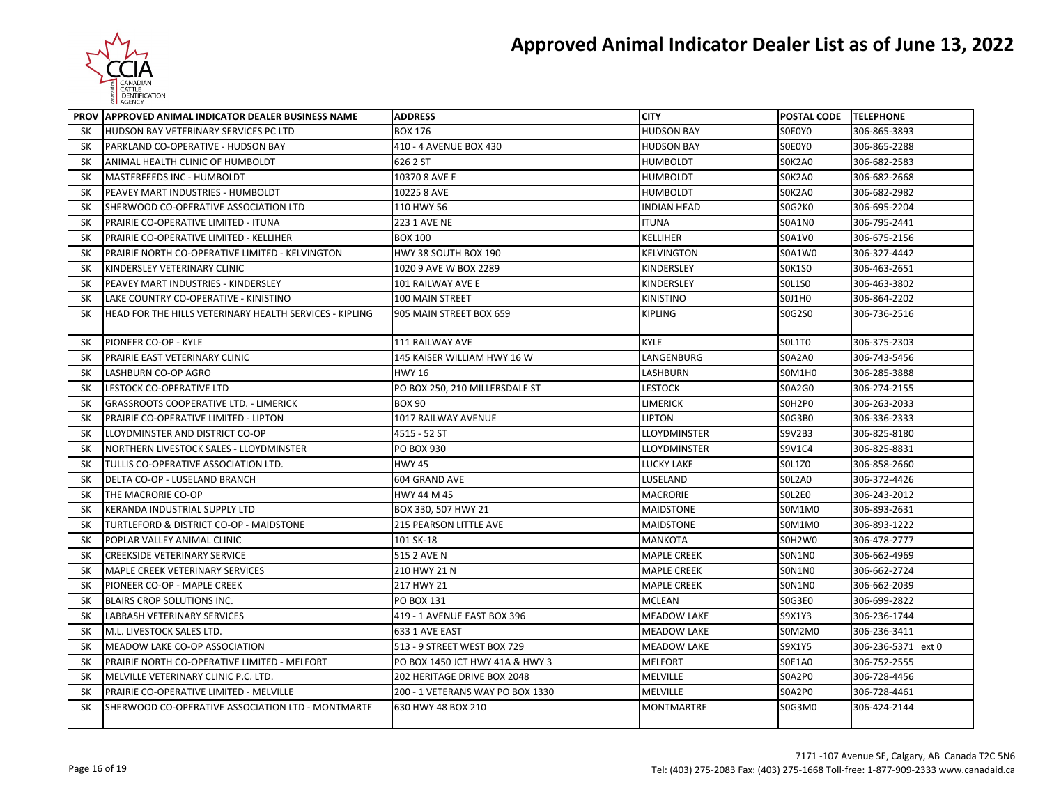

|           | PROV APPROVED ANIMAL INDICATOR DEALER BUSINESS NAME     | <b>ADDRESS</b>                   | <b>CITY</b>        | POSTAL CODE TELEPHONE |                    |
|-----------|---------------------------------------------------------|----------------------------------|--------------------|-----------------------|--------------------|
| <b>SK</b> | <b>HUDSON BAY VETERINARY SERVICES PC LTD</b>            | <b>BOX 176</b>                   | <b>HUDSON BAY</b>  | SOE0YO                | 306-865-3893       |
| SK        | PARKLAND CO-OPERATIVE - HUDSON BAY                      | 410 - 4 AVENUE BOX 430           | <b>HUDSON BAY</b>  | SOE0YO                | 306-865-2288       |
| SK        | ANIMAL HEALTH CLINIC OF HUMBOLDT                        | 626 2 ST                         | <b>HUMBOLDT</b>    | SOK2A0                | 306-682-2583       |
| <b>SK</b> | MASTERFEEDS INC - HUMBOLDT                              | 10370 8 AVE E                    | <b>HUMBOLDT</b>    | SOK2A0                | 306-682-2668       |
| SK        | PEAVEY MART INDUSTRIES - HUMBOLDT                       | 10225 8 AVE                      | <b>HUMBOLDT</b>    | SOK2A0                | 306-682-2982       |
| <b>SK</b> | SHERWOOD CO-OPERATIVE ASSOCIATION LTD                   | 110 HWY 56                       | <b>INDIAN HEAD</b> | SOG2KO                | 306-695-2204       |
| SK        | PRAIRIE CO-OPERATIVE LIMITED - ITUNA                    | 223 1 AVE NE                     | <b>ITUNA</b>       | <b>SOA1NO</b>         | 306-795-2441       |
| SK        | PRAIRIE CO-OPERATIVE LIMITED - KELLIHER                 | <b>BOX 100</b>                   | KELLIHER           | S0A1V0                | 306-675-2156       |
| <b>SK</b> | PRAIRIE NORTH CO-OPERATIVE LIMITED - KELVINGTON         | HWY 38 SOUTH BOX 190             | <b>KELVINGTON</b>  | <b>SOA1WO</b>         | 306-327-4442       |
| SΚ        | KINDERSLEY VETERINARY CLINIC                            | 1020 9 AVE W BOX 2289            | KINDERSLEY         | <b>SOK1SO</b>         | 306-463-2651       |
| <b>SK</b> | PEAVEY MART INDUSTRIES - KINDERSLEY                     | 101 RAILWAY AVE E                | KINDERSLEY         | <b>SOL1SO</b>         | 306-463-3802       |
| SK        | LAKE COUNTRY CO-OPERATIVE - KINISTINO                   | 100 MAIN STREET                  | KINISTINO          | S0J1H0                | 306-864-2202       |
| SK        | HEAD FOR THE HILLS VETERINARY HEALTH SERVICES - KIPLING | 905 MAIN STREET BOX 659          | <b>KIPLING</b>     | S0G2S0                | 306-736-2516       |
|           |                                                         |                                  |                    |                       |                    |
| <b>SK</b> | PIONEER CO-OP - KYLE                                    | <b>111 RAILWAY AVE</b>           | <b>KYLE</b>        | <b>SOL1TO</b>         | 306-375-2303       |
| SK        | PRAIRIE EAST VETERINARY CLINIC                          | 145 KAISER WILLIAM HWY 16 W      | LANGENBURG         | <b>SOA2A0</b>         | 306-743-5456       |
| <b>SK</b> | <b>LASHBURN CO-OP AGRO</b>                              | <b>HWY 16</b>                    | LASHBURN           | SOM1H0                | 306-285-3888       |
| <b>SK</b> | LESTOCK CO-OPERATIVE LTD                                | PO BOX 250, 210 MILLERSDALE ST   | <b>LESTOCK</b>     | <b>SOA2GO</b>         | 306-274-2155       |
| SK        | <b>GRASSROOTS COOPERATIVE LTD. - LIMERICK</b>           | <b>BOX 90</b>                    | <b>LIMERICK</b>    | SOH2PO                | 306-263-2033       |
| SK        | PRAIRIE CO-OPERATIVE LIMITED - LIPTON                   | 1017 RAILWAY AVENUE              | LIPTON             | S0G3B0                | 306-336-2333       |
| <b>SK</b> | LLOYDMINSTER AND DISTRICT CO-OP                         | 4515 - 52 ST                     | LLOYDMINSTER       | S9V2B3                | 306-825-8180       |
| SK        | NORTHERN LIVESTOCK SALES - LLOYDMINSTER                 | PO BOX 930                       | LLOYDMINSTER       | S9V1C4                | 306-825-8831       |
| SΚ        | TULLIS CO-OPERATIVE ASSOCIATION LTD.                    | <b>HWY 45</b>                    | LUCKY LAKE         | <b>SOL1ZO</b>         | 306-858-2660       |
| SK        | DELTA CO-OP - LUSELAND BRANCH                           | 604 GRAND AVE                    | LUSELAND           | <b>SOL2A0</b>         | 306-372-4426       |
| <b>SK</b> | THE MACRORIE CO-OP                                      | HWY 44 M 45                      | <b>MACRORIE</b>    | SOL2EO                | 306-243-2012       |
| SK        | <b>KERANDA INDUSTRIAL SUPPLY LTD</b>                    | BOX 330, 507 HWY 21              | <b>MAIDSTONE</b>   | S0M1M0                | 306-893-2631       |
| <b>SK</b> | TURTLEFORD & DISTRICT CO-OP - MAIDSTONE                 | <b>215 PEARSON LITTLE AVE</b>    | <b>MAIDSTONE</b>   | S0M1M0                | 306-893-1222       |
| <b>SK</b> | POPLAR VALLEY ANIMAL CLINIC                             | 101 SK-18                        | MANKOTA            | S0H2W0                | 306-478-2777       |
| SK        | <b>CREEKSIDE VETERINARY SERVICE</b>                     | 515 2 AVE N                      | <b>MAPLE CREEK</b> | <b>SON1NO</b>         | 306-662-4969       |
| <b>SK</b> | MAPLE CREEK VETERINARY SERVICES                         | 210 HWY 21 N                     | <b>MAPLE CREEK</b> | <b>SON1NO</b>         | 306-662-2724       |
| SK        | PIONEER CO-OP - MAPLE CREEK                             | 217 HWY 21                       | <b>MAPLE CREEK</b> | <b>SON1NO</b>         | 306-662-2039       |
| SK        | <b>BLAIRS CROP SOLUTIONS INC.</b>                       | PO BOX 131                       | <b>MCLEAN</b>      | <b>SOG3E0</b>         | 306-699-2822       |
| <b>SK</b> | <b>LABRASH VETERINARY SERVICES</b>                      | 419 - 1 AVENUE EAST BOX 396      | <b>MEADOW LAKE</b> | S9X1Y3                | 306-236-1744       |
| SK        | M.L. LIVESTOCK SALES LTD.                               | 633 1 AVE EAST                   | <b>MEADOW LAKE</b> | SOM2M0                | 306-236-3411       |
| SK        | MEADOW LAKE CO-OP ASSOCIATION                           | 513 - 9 STREET WEST BOX 729      | <b>MEADOW LAKE</b> | S9X1Y5                | 306-236-5371 ext 0 |
| SK        | PRAIRIE NORTH CO-OPERATIVE LIMITED - MELFORT            | PO BOX 1450 JCT HWY 41A & HWY 3  | <b>MELFORT</b>     | S0E1A0                | 306-752-2555       |
| SK        | MELVILLE VETERINARY CLINIC P.C. LTD.                    | 202 HERITAGE DRIVE BOX 2048      | <b>MELVILLE</b>    | <b>SOA2PO</b>         | 306-728-4456       |
| SK        | PRAIRIE CO-OPERATIVE LIMITED - MELVILLE                 | 200 - 1 VETERANS WAY PO BOX 1330 | <b>MELVILLE</b>    | SOA2PO                | 306-728-4461       |
| SK        | SHERWOOD CO-OPERATIVE ASSOCIATION LTD - MONTMARTE       | 630 HWY 48 BOX 210               | <b>MONTMARTRE</b>  | S0G3M0                | 306-424-2144       |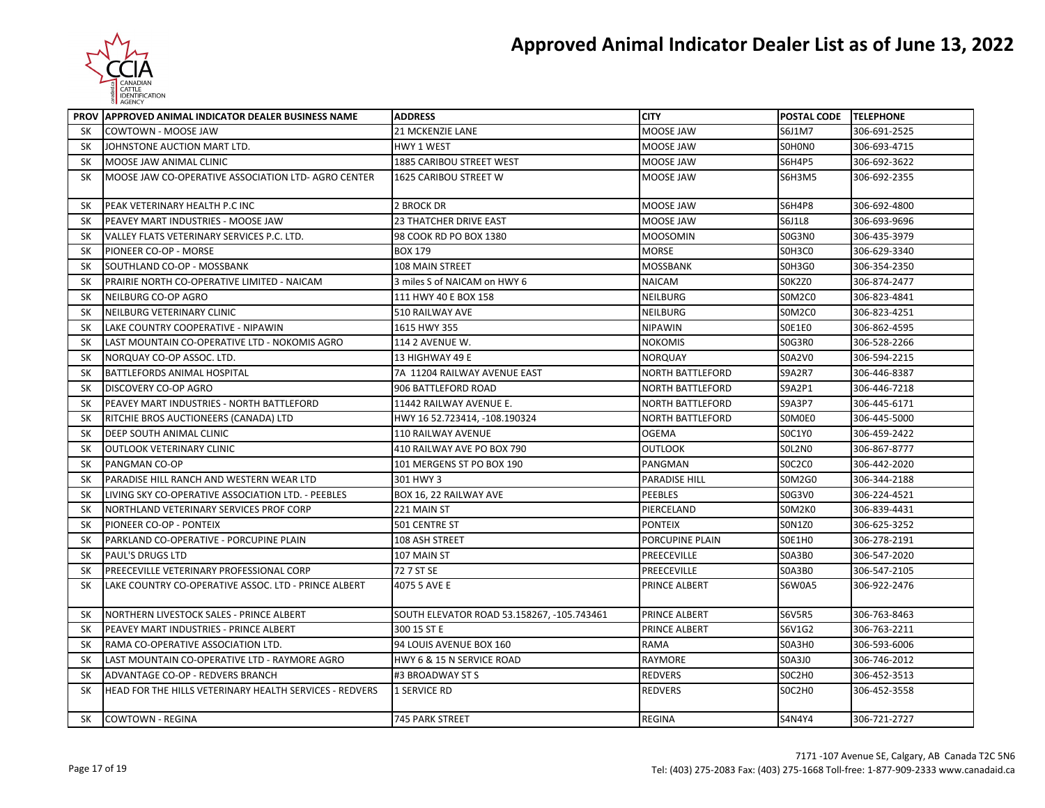

|           | <b>PROV IAPPROVED ANIMAL INDICATOR DEALER BUSINESS NAME</b> | <b>ADDRESS</b>                             | <b>CITY</b>             | POSTAL CODE TELEPHONE |              |
|-----------|-------------------------------------------------------------|--------------------------------------------|-------------------------|-----------------------|--------------|
| SK        | COWTOWN - MOOSE JAW                                         | 21 MCKENZIE LANE                           | MOOSE JAW               | S6J1M7                | 306-691-2525 |
| SK        | JOHNSTONE AUCTION MART LTD.                                 | HWY 1 WEST                                 | MOOSE JAW               | SOHONO                | 306-693-4715 |
| <b>SK</b> | MOOSE JAW ANIMAL CLINIC                                     | 1885 CARIBOU STREET WEST                   | MOOSE JAW               | <b>S6H4P5</b>         | 306-692-3622 |
| SK        | MOOSE JAW CO-OPERATIVE ASSOCIATION LTD- AGRO CENTER         | 1625 CARIBOU STREET W                      | MOOSE JAW               | <b>S6H3M5</b>         | 306-692-2355 |
| SK        | PEAK VETERINARY HEALTH P.C INC                              | 2 BROCK DR                                 | MOOSE JAW               | <b>S6H4P8</b>         | 306-692-4800 |
| SK        | PEAVEY MART INDUSTRIES - MOOSE JAW                          | 23 THATCHER DRIVE EAST                     | MOOSE JAW               | S6J1L8                | 306-693-9696 |
| SK        | VALLEY FLATS VETERINARY SERVICES P.C. LTD.                  | 98 COOK RD PO BOX 1380                     | <b>MOOSOMIN</b>         | <b>SOG3NO</b>         | 306-435-3979 |
| SΚ        | PIONEER CO-OP - MORSE                                       | <b>BOX 179</b>                             | MORSE                   | SOH3CO                | 306-629-3340 |
| SK        | SOUTHLAND CO-OP - MOSSBANK                                  | 108 MAIN STREET                            | MOSSBANK                | SOH3GO                | 306-354-2350 |
| <b>SK</b> | PRAIRIE NORTH CO-OPERATIVE LIMITED - NAICAM                 | 3 miles S of NAICAM on HWY 6               | <b>NAICAM</b>           | <b>SOK2ZO</b>         | 306-874-2477 |
| SΚ        | NEILBURG CO-OP AGRO                                         | 111 HWY 40 E BOX 158                       | NEILBURG                | <b>SOM2CO</b>         | 306-823-4841 |
| SK        | NEILBURG VETERINARY CLINIC                                  | 510 RAILWAY AVE                            | NEILBURG                | SOM2CO                | 306-823-4251 |
| SK        | LAKE COUNTRY COOPERATIVE - NIPAWIN                          | 1615 HWY 355                               | NIPAWIN                 | S0E1E0                | 306-862-4595 |
| SΚ        | LAST MOUNTAIN CO-OPERATIVE LTD - NOKOMIS AGRO               | <b>114 2 AVENUE W.</b>                     | NOKOMIS                 | SOG3R0                | 306-528-2266 |
| SK        | NORQUAY CO-OP ASSOC. LTD.                                   | 13 HIGHWAY 49 E                            | NORQUAY                 | <b>SOA2VO</b>         | 306-594-2215 |
| <b>SK</b> | <b>BATTLEFORDS ANIMAL HOSPITAL</b>                          | 7A 11204 RAILWAY AVENUE EAST               | <b>NORTH BATTLEFORD</b> | <b>S9A2R7</b>         | 306-446-8387 |
| SK        | DISCOVERY CO-OP AGRO                                        | 906 BATTLEFORD ROAD                        | NORTH BATTLEFORD        | S9A2P1                | 306-446-7218 |
| SΚ        | PEAVEY MART INDUSTRIES - NORTH BATTLEFORD                   | 11442 RAILWAY AVENUE E.                    | NORTH BATTLEFORD        | S9A3P7                | 306-445-6171 |
| SK        | RITCHIE BROS AUCTIONEERS (CANADA) LTD                       | HWY 16 52.723414, -108.190324              | <b>NORTH BATTLEFORD</b> | SOMOE0                | 306-445-5000 |
| SK        | DEEP SOUTH ANIMAL CLINIC                                    | <b>110 RAILWAY AVENUE</b>                  | OGEMA                   | <b>SOC1YO</b>         | 306-459-2422 |
| <b>SK</b> | <b>OUTLOOK VETERINARY CLINIC</b>                            | 410 RAILWAY AVE PO BOX 790                 | OUTLOOK                 | SOL2NO                | 306-867-8777 |
| <b>SK</b> | <b>PANGMAN CO-OP</b>                                        | 101 MERGENS ST PO BOX 190                  | PANGMAN                 | <b>SOC2CO</b>         | 306-442-2020 |
| <b>SK</b> | PARADISE HILL RANCH AND WESTERN WEAR LTD                    | 301 HWY 3                                  | <b>PARADISE HILL</b>    | S0M2G0                | 306-344-2188 |
| SΚ        | LIVING SKY CO-OPERATIVE ASSOCIATION LTD. - PEEBLES          | BOX 16, 22 RAILWAY AVE                     | <b>PEEBLES</b>          | S0G3V0                | 306-224-4521 |
| SK        | NORTHLAND VETERINARY SERVICES PROF CORP                     | 221 MAIN ST                                | PIERCELAND              | SOM2KO                | 306-839-4431 |
| <b>SK</b> | PIONEER CO-OP - PONTEIX                                     | 501 CENTRE ST                              | <b>PONTEIX</b>          | S0N1Z0                | 306-625-3252 |
| <b>SK</b> | PARKLAND CO-OPERATIVE - PORCUPINE PLAIN                     | 108 ASH STREET                             | PORCUPINE PLAIN         | SOE1HO                | 306-278-2191 |
| SK        | <b>PAUL'S DRUGS LTD</b>                                     | 107 MAIN ST                                | PREECEVILLE             | <b>SOA3BO</b>         | 306-547-2020 |
| <b>SK</b> | PREECEVILLE VETERINARY PROFESSIONAL CORP                    | 72 7 ST SE                                 | PREECEVILLE             | <b>SOA3BO</b>         | 306-547-2105 |
| <b>SK</b> | LAKE COUNTRY CO-OPERATIVE ASSOC. LTD - PRINCE ALBERT        | 4075 5 AVE E                               | <b>PRINCE ALBERT</b>    | S6W0A5                | 306-922-2476 |
| SK        | NORTHERN LIVESTOCK SALES - PRINCE ALBERT                    | SOUTH ELEVATOR ROAD 53.158267, -105.743461 | PRINCE ALBERT           | <b>S6V5R5</b>         | 306-763-8463 |
| SK        | PEAVEY MART INDUSTRIES - PRINCE ALBERT                      | 300 15 ST E                                | PRINCE ALBERT           | S6V1G2                | 306-763-2211 |
| SK        | RAMA CO-OPERATIVE ASSOCIATION LTD.                          | 94 LOUIS AVENUE BOX 160                    | RAMA                    | SOA3HO                | 306-593-6006 |
| SK        | LAST MOUNTAIN CO-OPERATIVE LTD - RAYMORE AGRO               | HWY 6 & 15 N SERVICE ROAD                  | <b>RAYMORE</b>          | S0A3J0                | 306-746-2012 |
| SK        | ADVANTAGE CO-OP - REDVERS BRANCH                            | #3 BROADWAY ST S                           | REDVERS                 | SOC2HO                | 306-452-3513 |
| <b>SK</b> | HEAD FOR THE HILLS VETERINARY HEALTH SERVICES - REDVERS     | <b>1 SERVICE RD</b>                        | REDVERS                 | SOC2HO                | 306-452-3558 |
| SK        | <b>COWTOWN - REGINA</b>                                     | 745 PARK STREET                            | <b>REGINA</b>           | S4N4Y4                | 306-721-2727 |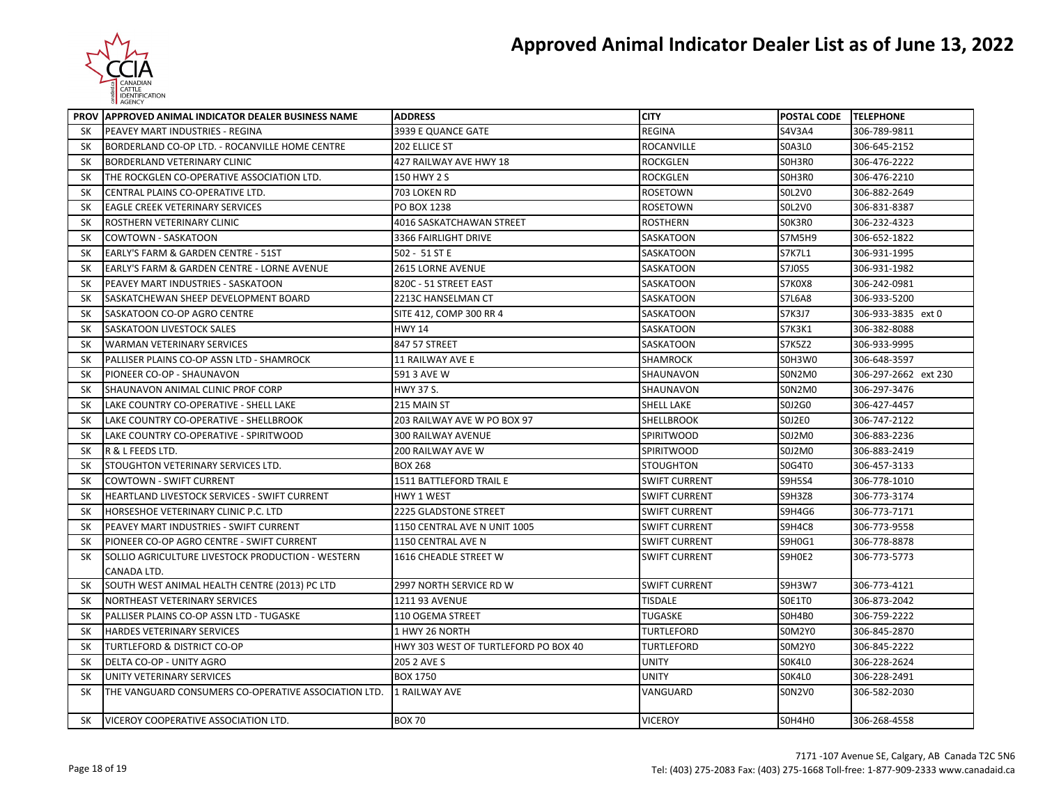

|           | PROV APPROVED ANIMAL INDICATOR DEALER BUSINESS NAME  | <b>ADDRESS</b>                       | <b>CITY</b>          | POSTAL CODE TELEPHONE |                      |
|-----------|------------------------------------------------------|--------------------------------------|----------------------|-----------------------|----------------------|
| SK        | <b>PEAVEY MART INDUSTRIES - REGINA</b>               | 3939 E QUANCE GATE                   | <b>REGINA</b>        | S4V3A4                | 306-789-9811         |
| SK        | BORDERLAND CO-OP LTD. - ROCANVILLE HOME CENTRE       | 202 ELLICE ST                        | <b>ROCANVILLE</b>    | <b>SOA3LO</b>         | 306-645-2152         |
| SK        | <b>BORDERLAND VETERINARY CLINIC</b>                  | 427 RAILWAY AVE HWY 18               | <b>ROCKGLEN</b>      | SOH3RO                | 306-476-2222         |
| SK        | THE ROCKGLEN CO-OPERATIVE ASSOCIATION LTD.           | 150 HWY 2 S                          | <b>ROCKGLEN</b>      | SOH3RO                | 306-476-2210         |
| <b>SK</b> | CENTRAL PLAINS CO-OPERATIVE LTD.                     | 703 LOKEN RD                         | <b>ROSETOWN</b>      | SOL2VO                | 306-882-2649         |
| <b>SK</b> | <b>EAGLE CREEK VETERINARY SERVICES</b>               | PO BOX 1238                          | <b>ROSETOWN</b>      | S0L2V0                | 306-831-8387         |
| SK        | <b>ROSTHERN VETERINARY CLINIC</b>                    | 4016 SASKATCHAWAN STREET             | <b>ROSTHERN</b>      | SOK3RO                | 306-232-4323         |
| SK        | <b>COWTOWN - SASKATOON</b>                           | 3366 FAIRLIGHT DRIVE                 | <b>SASKATOON</b>     | S7M5H9                | 306-652-1822         |
| <b>SK</b> | <b>EARLY'S FARM &amp; GARDEN CENTRE - 51ST</b>       | 502 - 51 ST E                        | <b>SASKATOON</b>     | <b>S7K7L1</b>         | 306-931-1995         |
| SK        | EARLY'S FARM & GARDEN CENTRE - LORNE AVENUE          | 2615 LORNE AVENUE                    | SASKATOON            | S7J0S5                | 306-931-1982         |
| SΚ        | PEAVEY MART INDUSTRIES - SASKATOON                   | 820C - 51 STREET EAST                | SASKATOON            | S7K0X8                | 306-242-0981         |
| <b>SK</b> | SASKATCHEWAN SHEEP DEVELOPMENT BOARD                 | 2213C HANSELMAN CT                   | SASKATOON            | <b>S7L6A8</b>         | 306-933-5200         |
| SK        | SASKATOON CO-OP AGRO CENTRE                          | SITE 412, COMP 300 RR 4              | <b>SASKATOON</b>     | S7K3J7                | 306-933-3835 ext 0   |
| SK        | <b>SASKATOON LIVESTOCK SALES</b>                     | <b>HWY 14</b>                        | <b>SASKATOON</b>     | S7K3K1                | 306-382-8088         |
| <b>SK</b> | <b>WARMAN VETERINARY SERVICES</b>                    | 847 57 STREET                        | <b>SASKATOON</b>     | <b>S7K5Z2</b>         | 306-933-9995         |
| <b>SK</b> | PALLISER PLAINS CO-OP ASSN LTD - SHAMROCK            | <b>11 RAILWAY AVE E</b>              | <b>SHAMROCK</b>      | S0H3W0                | 306-648-3597         |
| <b>SK</b> | PIONEER CO-OP - SHAUNAVON                            | 591 3 AVE W                          | SHAUNAVON            | <b>SON2M0</b>         | 306-297-2662 ext 230 |
| <b>SK</b> | SHAUNAVON ANIMAL CLINIC PROF CORP                    | HWY 37 S.                            | SHAUNAVON            | <b>SON2M0</b>         | 306-297-3476         |
| <b>SK</b> | LAKE COUNTRY CO-OPERATIVE - SHELL LAKE               | 215 MAIN ST                          | <b>SHELL LAKE</b>    | S0J2G0                | 306-427-4457         |
| SK        | LAKE COUNTRY CO-OPERATIVE - SHELLBROOK               | 203 RAILWAY AVE W PO BOX 97          | <b>SHELLBROOK</b>    | SOJ2E0                | 306-747-2122         |
| SK        | LAKE COUNTRY CO-OPERATIVE - SPIRITWOOD               | <b>300 RAILWAY AVENUE</b>            | <b>SPIRITWOOD</b>    | S0J2M0                | 306-883-2236         |
| SK        | R & L FEEDS LTD.                                     | 200 RAILWAY AVE W                    | SPIRITWOOD           | S0J2M0                | 306-883-2419         |
| <b>SK</b> | STOUGHTON VETERINARY SERVICES LTD.                   | <b>BOX 268</b>                       | STOUGHTON            | S0G4T0                | 306-457-3133         |
| <b>SK</b> | <b>COWTOWN - SWIFT CURRENT</b>                       | 1511 BATTLEFORD TRAIL E              | <b>SWIFT CURRENT</b> | S9H5S4                | 306-778-1010         |
| SK        | HEARTLAND LIVESTOCK SERVICES - SWIFT CURRENT         | HWY 1 WEST                           | <b>SWIFT CURRENT</b> | S9H3Z8                | 306-773-3174         |
| SK        | HORSESHOE VETERINARY CLINIC P.C. LTD                 | 2225 GLADSTONE STREET                | <b>SWIFT CURRENT</b> | S9H4G6                | 306-773-7171         |
| SK        | PEAVEY MART INDUSTRIES - SWIFT CURRENT               | 1150 CENTRAL AVE N UNIT 1005         | <b>SWIFT CURRENT</b> | <b>S9H4C8</b>         | 306-773-9558         |
| <b>SK</b> | PIONEER CO-OP AGRO CENTRE - SWIFT CURRENT            | 1150 CENTRAL AVE N                   | <b>SWIFT CURRENT</b> | S9H0G1                | 306-778-8878         |
| SK        | SOLLIO AGRICULTURE LIVESTOCK PRODUCTION - WESTERN    | 1616 CHEADLE STREET W                | <b>SWIFT CURRENT</b> | S9H0E2                | 306-773-5773         |
|           | CANADA LTD.                                          |                                      |                      |                       |                      |
| <b>SK</b> | SOUTH WEST ANIMAL HEALTH CENTRE (2013) PC LTD        | 2997 NORTH SERVICE RD W              | <b>SWIFT CURRENT</b> | S9H3W7                | 306-773-4121         |
| SK        | NORTHEAST VETERINARY SERVICES                        | 1211 93 AVENUE                       | TISDALE              | SOE1TO                | 306-873-2042         |
| <b>SK</b> | PALLISER PLAINS CO-OP ASSN LTD - TUGASKE             | 110 OGEMA STREET                     | TUGASKE              | <b>SOH4BO</b>         | 306-759-2222         |
| SK        | <b>HARDES VETERINARY SERVICES</b>                    | 1 HWY 26 NORTH                       | <b>TURTLEFORD</b>    | S0M2Y0                | 306-845-2870         |
| SΚ        | TURTLEFORD & DISTRICT CO-OP                          | HWY 303 WEST OF TURTLEFORD PO BOX 40 | TURTLEFORD           | S0M2Y0                | 306-845-2222         |
| <b>SK</b> | DELTA CO-OP - UNITY AGRO                             | 205 2 AVE S                          | <b>UNITY</b>         | SOK4LO                | 306-228-2624         |
| <b>SK</b> | UNITY VETERINARY SERVICES                            | <b>BOX 1750</b>                      | <b>UNITY</b>         | SOK4LO                | 306-228-2491         |
| SK        | THE VANGUARD CONSUMERS CO-OPERATIVE ASSOCIATION LTD. | 1 RAILWAY AVE                        | VANGUARD             | <b>SON2VO</b>         | 306-582-2030         |
| SK        | VICEROY COOPERATIVE ASSOCIATION LTD.                 | <b>BOX 70</b>                        | <b>VICEROY</b>       | SOH4HO                | 306-268-4558         |